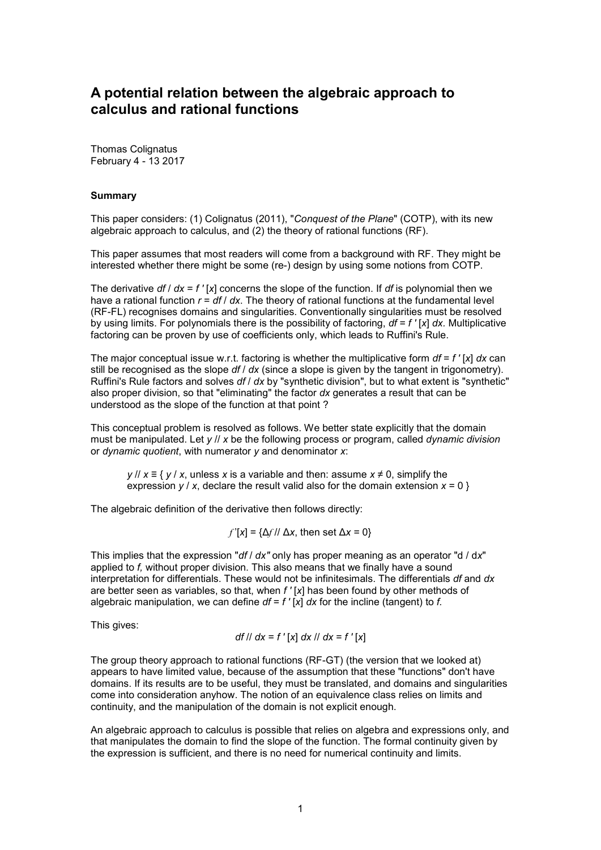# **A potential relation between the algebraic approach to calculus and rational functions**

Thomas Colignatus February 4 - 13 2017

#### **Summary**

This paper considers: (1) Colignatus (2011), "*Conquest of the Plane*" (COTP), with its new algebraic approach to calculus, and (2) the theory of rational functions (RF).

This paper assumes that most readers will come from a background with RF. They might be interested whether there might be some (re-) design by using some notions from COTP.

The derivative *df* / *dx* = *f '* [*x*] concerns the slope of the function. If *df* is polynomial then we have a rational function *r* = *df* / *dx*. The theory of rational functions at the fundamental level (RF-FL) recognises domains and singularities. Conventionally singularities must be resolved by using limits. For polynomials there is the possibility of factoring, *df* = *f '* [*x*] *dx.* Multiplicative factoring can be proven by use of coefficients only, which leads to Ruffini's Rule.

The major conceptual issue w.r.t. factoring is whether the multiplicative form *df* = *f '* [*x*] *dx* can still be recognised as the slope *df* / *dx* (since a slope is given by the tangent in trigonometry). Ruffini's Rule factors and solves *df* / *dx* by "synthetic division", but to what extent is "synthetic" also proper division, so that "eliminating" the factor *dx* generates a result that can be understood as the slope of the function at that point ?

This conceptual problem is resolved as follows. We better state explicitly that the domain must be manipulated. Let *y* // *x* be the following process or program, called *dynamic division* or *dynamic quotient*, with numerator *y* and denominator *x*:

*y* // *x* ≡ { *y* / *x*, unless *x* is a variable and then: assume *x* ≠ 0, simplify the expression  $y / x$ , declare the result valid also for the domain extension  $x = 0$  }

The algebraic definition of the derivative then follows directly:

 $f'$ [*x*] = { $\Delta f$  //  $\Delta x$ , then set  $\Delta x = 0$ }

This implies that the expression "*df* / *dx"* only has proper meaning as an operator "d / d*x*" applied to *f,* without proper division. This also means that we finally have a sound interpretation for differentials. These would not be infinitesimals. The differentials *df* and *dx* are better seen as variables, so that, when *f '* [*x*] has been found by other methods of algebraic manipulation, we can define  $df = f' [x] dx$  for the incline (tangent) to *f.* 

This gives:

$$
df \, || \, dx = f' [x] \, dx \, || \, dx = f' [x]
$$

The group theory approach to rational functions (RF-GT) (the version that we looked at) appears to have limited value, because of the assumption that these "functions" don't have domains. If its results are to be useful, they must be translated, and domains and singularities come into consideration anyhow. The notion of an equivalence class relies on limits and continuity, and the manipulation of the domain is not explicit enough.

An algebraic approach to calculus is possible that relies on algebra and expressions only, and that manipulates the domain to find the slope of the function. The formal continuity given by the expression is sufficient, and there is no need for numerical continuity and limits.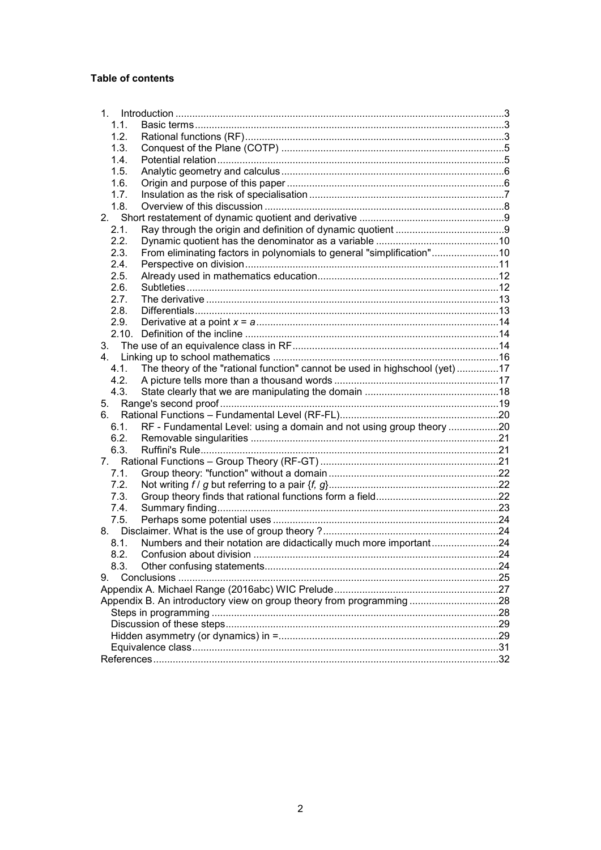## Table of contents

| 1.1. |                                                                            |  |
|------|----------------------------------------------------------------------------|--|
| 1.2. |                                                                            |  |
| 1.3. |                                                                            |  |
| 1.4. |                                                                            |  |
| 1.5. |                                                                            |  |
| 1.6. |                                                                            |  |
| 1.7. |                                                                            |  |
| 1.8. |                                                                            |  |
| 2.   |                                                                            |  |
| 2.1. |                                                                            |  |
| 2.2. |                                                                            |  |
| 2.3. | From eliminating factors in polynomials to general "simplification"10      |  |
| 2.4. |                                                                            |  |
| 2.5. |                                                                            |  |
| 2.6. |                                                                            |  |
| 2.7. |                                                                            |  |
| 2.8. |                                                                            |  |
| 2.9. |                                                                            |  |
|      |                                                                            |  |
| 3.   |                                                                            |  |
|      |                                                                            |  |
| 4.1. | The theory of the "rational function" cannot be used in highschool (yet)17 |  |
| 4.2. |                                                                            |  |
| 4.3. |                                                                            |  |
| 5.   |                                                                            |  |
| 6.   |                                                                            |  |
| 6.1. | RF - Fundamental Level: using a domain and not using group theory 20       |  |
| 6.2. |                                                                            |  |
| 6.3. |                                                                            |  |
| 7.   |                                                                            |  |
| 7.1. |                                                                            |  |
| 7.2. |                                                                            |  |
| 7.3. |                                                                            |  |
| 7.4. |                                                                            |  |
| 7.5. |                                                                            |  |
|      |                                                                            |  |
| 8.1. | Numbers and their notation are didactically much more important24          |  |
| 8.2. |                                                                            |  |
| 8.3. |                                                                            |  |
| 9.   |                                                                            |  |
|      |                                                                            |  |
|      | Appendix B. An introductory view on group theory from programming 28       |  |
|      |                                                                            |  |
|      |                                                                            |  |
|      |                                                                            |  |
|      |                                                                            |  |
|      |                                                                            |  |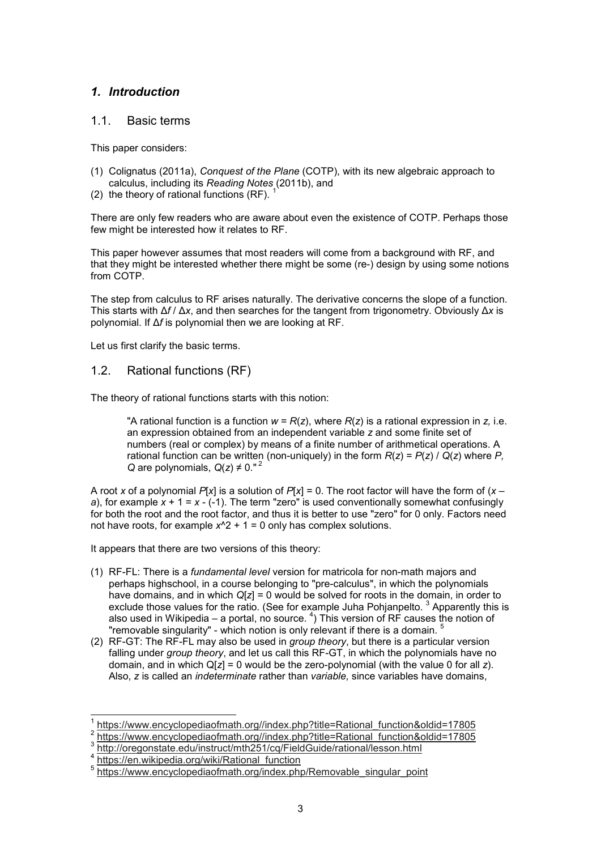# *1. Introduction*

### 1.1. Basic terms

This paper considers:

- (1) Colignatus (2011a), *Conquest of the Plane* (COTP), with its new algebraic approach to calculus, including its *Reading Notes* (2011b), and
- $(2)$  the theory of rational functions  $(RF)$ .

There are only few readers who are aware about even the existence of COTP. Perhaps those few might be interested how it relates to RF.

This paper however assumes that most readers will come from a background with RF, and that they might be interested whether there might be some (re-) design by using some notions from COTP

The step from calculus to RF arises naturally. The derivative concerns the slope of a function. This starts with Δ*f* / Δ*x*, and then searches for the tangent from trigonometry. Obviously Δ*x* is polynomial. If Δ*f* is polynomial then we are looking at RF.

Let us first clarify the basic terms.

# 1.2. Rational functions (RF)

The theory of rational functions starts with this notion:

"A rational function is a function  $w = R(z)$ , where  $R(z)$  is a rational expression in z, i.e. an expression obtained from an independent variable *z* and some finite set of numbers (real or complex) by means of a finite number of arithmetical operations. A rational function can be written (non-uniquely) in the form  $R(z) = P(z) / Q(z)$  where P, *Q* are polynomials,  $Q(z) \neq 0$ ."<sup>2</sup>

A root *x* of a polynomial *P*[*x*] is a solution of *P*[*x*] = 0. The root factor will have the form of (*x* – *a*), for example *x* + 1 = *x* - (-1). The term "zero" is used conventionally somewhat confusingly for both the root and the root factor, and thus it is better to use "zero" for 0 only. Factors need not have roots, for example  $x^2 + 1 = 0$  only has complex solutions.

It appears that there are two versions of this theory:

- (1) RF-FL: There is a *fundamental level* version for matricola for non-math majors and perhaps highschool, in a course belonging to "pre-calculus", in which the polynomials have domains, and in which *Q*[*z*] = 0 would be solved for roots in the domain, in order to exclude those values for the ratio. (See for example Juha Pohjanpelto. <sup>3</sup> Apparently this is also used in Wikipedia – a portal, no source.  $^{4}$ ) This version of RF causes the notion of "removable singularity" - which notion is only relevant if there is a domain. <sup>5</sup>
- (2) RF-GT: The RF-FL may also be used in *group theory*, but there is a particular version falling under *group theory*, and let us call this RF-GT, in which the polynomials have no domain, and in which Q[*z*] = 0 would be the zero-polynomial (with the value 0 for all *z*). Also, *z* is called an *indeterminate* rather than *variable,* since variables have domains,

 $\overline{a}$ 1 https://www.encyclopediaofmath.org//index.php?title=Rational\_function&oldid=17805

<sup>2</sup> https://www.encyclopediaofmath.org//index.php?title=Rational\_function&oldid=17805

<sup>3&</sup>lt;br>http://oregonstate.edu/instruct/mth251/cq/FieldGuide/rational/lesson.html<br>4 https://on.wikipedia.org/wiki/Retional\_function

https://en.wikipedia.org/wiki/Rational\_function

<sup>5</sup> https://www.encyclopediaofmath.org/index.php/Removable\_singular\_point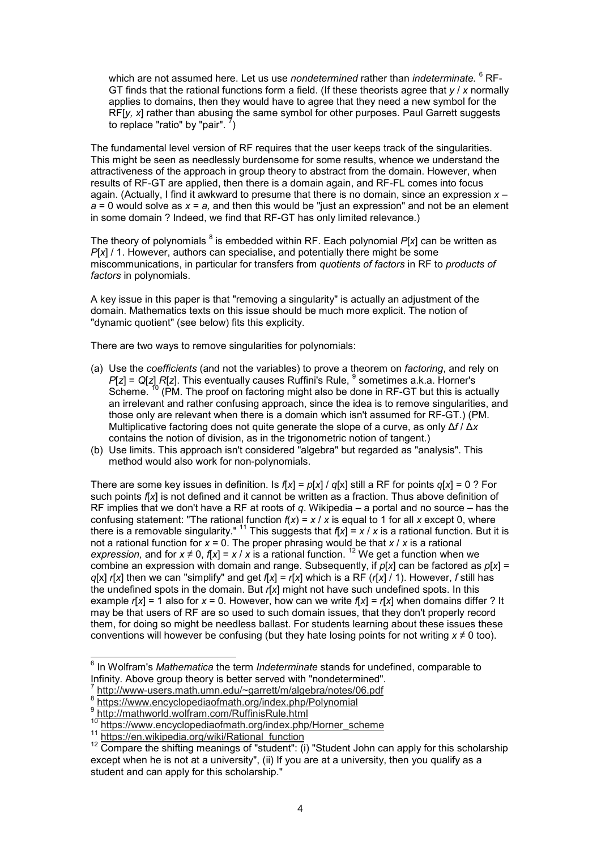which are not assumed here. Let us use *nondetermined* rather than *indeterminate.*  $^6$  RF-GT finds that the rational functions form a field. (If these theorists agree that *y* / *x* normally applies to domains, then they would have to agree that they need a new symbol for the RF[*y, x*] rather than abusing the same symbol for other purposes. Paul Garrett suggests to replace "ratio" by "pair".  $^7$ )

The fundamental level version of RF requires that the user keeps track of the singularities. This might be seen as needlessly burdensome for some results, whence we understand the attractiveness of the approach in group theory to abstract from the domain. However, when results of RF-GT are applied, then there is a domain again, and RF-FL comes into focus again. (Actually, I find it awkward to presume that there is no domain, since an expression *x* – *a* = 0 would solve as *x* = *a,* and then this would be "just an expression" and not be an element in some domain ? Indeed, we find that RF-GT has only limited relevance.)

The theory of polynomials  $^8$  is embedded within RF. Each polynomial  $P$ [x] can be written as *P*[*x*] / 1. However, authors can specialise, and potentially there might be some miscommunications, in particular for transfers from *quotients of factors* in RF to *products of factors* in polynomials.

A key issue in this paper is that "removing a singularity" is actually an adjustment of the domain. Mathematics texts on this issue should be much more explicit. The notion of "dynamic quotient" (see below) fits this explicity.

There are two ways to remove singularities for polynomials:

- (a) Use the *coefficients* (and not the variables) to prove a theorem on *factoring*, and rely on *P*[*z*] = *Q*[*z*] *R*[*z*]. This eventually causes Ruffini's Rule, <sup>9</sup> sometimes a.k.a. Horner's Scheme. <sup>10</sup> (PM. The proof on factoring might also be done in RF-GT but this is actually an irrelevant and rather confusing approach, since the idea is to remove singularities, and those only are relevant when there is a domain which isn't assumed for RF-GT.) (PM. Multiplicative factoring does not quite generate the slope of a curve, as only Δ*f* / Δ*x* contains the notion of division, as in the trigonometric notion of tangent.)
- (b) Use limits. This approach isn't considered "algebra" but regarded as "analysis". This method would also work for non-polynomials.

There are some key issues in definition. Is  $f[x] = p[x] / q[x]$  still a RF for points  $q[x] = 0$  ? For such points *f*[*x*] is not defined and it cannot be written as a fraction. Thus above definition of RF implies that we don't have a RF at roots of *q*. Wikipedia – a portal and no source – has the confusing statement: "The rational function  $f(x) = x / x$  is equal to 1 for all *x* except 0, where there is a removable singularity." <sup>11</sup> This suggests that  $f[x] = x / x$  is a rational function. But it is not a rational function for *x* = 0. The proper phrasing would be that *x* / *x* is a rational *expression,* and for  $x \neq 0$ ,  $f[x] = x / x$  is a rational function. <sup>12</sup> We get a function when we combine an expression with domain and range. Subsequently, if *p*[*x*] can be factored as *p*[*x*] = *g*[x] *r*[*x*] then we can "simplify" and get  $f(x) = r(x)$  which is a RF ( $r(x) \neq 0$ ). However, *f* still has the undefined spots in the domain. But *r*[*x*] might not have such undefined spots. In this example  $r[x] = 1$  also for  $x = 0$ . However, how can we write  $f[x] = r[x]$  when domains differ ? It may be that users of RF are so used to such domain issues, that they don't properly record them, for doing so might be needless ballast. For students learning about these issues these conventions will however be confusing (but they hate losing points for not writing *x* ≠ 0 too).

 6 In Wolfram's *Mathematica* the term *Indeterminate* stands for undefined, comparable to Infinity. Above group theory is better served with "nondetermined".

<sup>7</sup> http://www-users.math.umn.edu/~garrett/m/algebra/notes/06.pdf

<sup>8</sup> https://www.encyclopediaofmath.org/index.php/Polynomial

<sup>9</sup> http://mathworld.wolfram.com/RuffinisRule.html

<sup>&</sup>lt;sup>10</sup> https://www.encyclopediaofmath.org/index.php/Horner\_scheme

<sup>11</sup> https://en.wikipedia.org/wiki/Rational\_function

<sup>&</sup>lt;sup>12</sup> Compare the shifting meanings of "student": (i) "Student John can apply for this scholarship except when he is not at a university", (ii) If you are at a university, then you qualify as a student and can apply for this scholarship."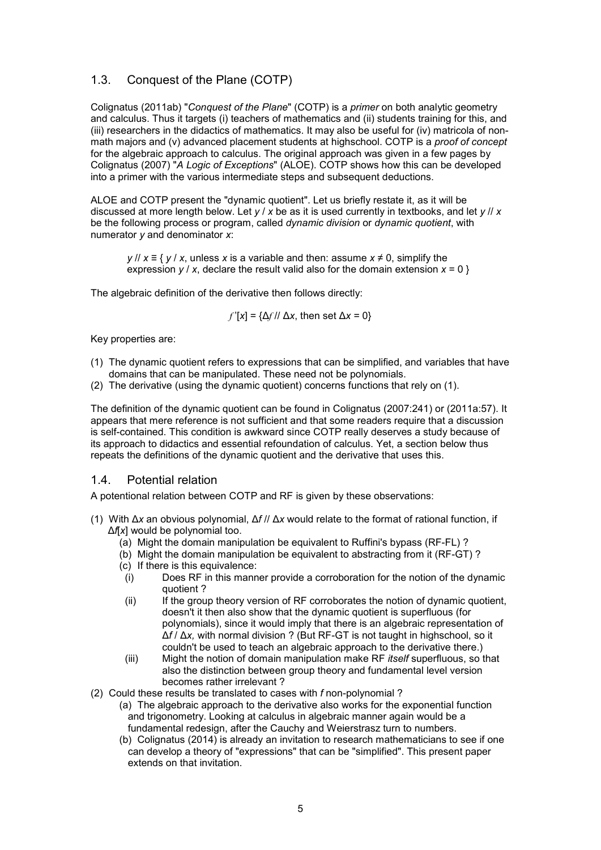# 1.3. Conquest of the Plane (COTP)

Colignatus (2011ab) "*Conquest of the Plane*" (COTP) is a *primer* on both analytic geometry and calculus. Thus it targets (i) teachers of mathematics and (ii) students training for this, and (iii) researchers in the didactics of mathematics. It may also be useful for (iv) matricola of nonmath majors and (v) advanced placement students at highschool. COTP is a *proof of concept* for the algebraic approach to calculus. The original approach was given in a few pages by Colignatus (2007) "*A Logic of Exceptions*" (ALOE). COTP shows how this can be developed into a primer with the various intermediate steps and subsequent deductions.

ALOE and COTP present the "dynamic quotient". Let us briefly restate it, as it will be discussed at more length below. Let *y* / *x* be as it is used currently in textbooks, and let *y* // *x* be the following process or program, called *dynamic division* or *dynamic quotient*, with numerator *y* and denominator *x*:

*y* // *x* ≡ { *y* / *x*, unless *x* is a variable and then: assume *x* ≠ 0, simplify the expression  $y / x$ , declare the result valid also for the domain extension  $x = 0$  }

The algebraic definition of the derivative then follows directly:

*f*  $f$  $K$  $X$  =  ${Δf}$   $M$   $Δx$ , then set  $Δx = 0$ }

Key properties are:

- (1) The dynamic quotient refers to expressions that can be simplified, and variables that have domains that can be manipulated. These need not be polynomials.
- (2) The derivative (using the dynamic quotient) concerns functions that rely on (1).

The definition of the dynamic quotient can be found in Colignatus (2007:241) or (2011a:57). It appears that mere reference is not sufficient and that some readers require that a discussion is self-contained. This condition is awkward since COTP really deserves a study because of its approach to didactics and essential refoundation of calculus. Yet, a section below thus repeats the definitions of the dynamic quotient and the derivative that uses this.

### 1.4. Potential relation

A potentional relation between COTP and RF is given by these observations:

- (1) With Δ*x* an obvious polynomial, Δ*f* // Δ*x* would relate to the format of rational function, if Δ*f*[*x*] would be polynomial too.
	- (a) Might the domain manipulation be equivalent to Ruffini's bypass (RF-FL) ?
	- (b) Might the domain manipulation be equivalent to abstracting from it (RF-GT) ?
	- (c) If there is this equivalence:
	- (i) Does RF in this manner provide a corroboration for the notion of the dynamic quotient ?
	- (ii) If the group theory version of RF corroborates the notion of dynamic quotient, doesn't it then also show that the dynamic quotient is superfluous (for polynomials), since it would imply that there is an algebraic representation of Δ*f* / Δ*x,* with normal division ? (But RF-GT is not taught in highschool, so it couldn't be used to teach an algebraic approach to the derivative there.)
	- (iii) Might the notion of domain manipulation make RF *itself* superfluous, so that also the distinction between group theory and fundamental level version becomes rather irrelevant ?
- (2) Could these results be translated to cases with *f* non-polynomial ?
	- (a) The algebraic approach to the derivative also works for the exponential function and trigonometry. Looking at calculus in algebraic manner again would be a fundamental redesign, after the Cauchy and Weierstrasz turn to numbers.
	- (b) Colignatus (2014) is already an invitation to research mathematicians to see if one can develop a theory of "expressions" that can be "simplified". This present paper extends on that invitation.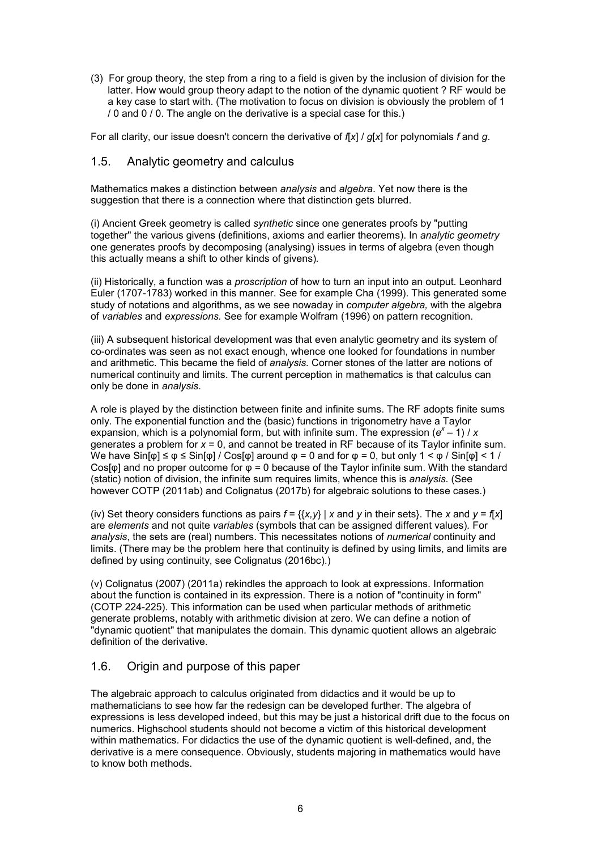(3) For group theory, the step from a ring to a field is given by the inclusion of division for the latter. How would group theory adapt to the notion of the dynamic quotient ? RF would be a key case to start with. (The motivation to focus on division is obviously the problem of 1 / 0 and 0 / 0. The angle on the derivative is a special case for this.)

For all clarity, our issue doesn't concern the derivative of *f*[*x*] / *g*[*x*] for polynomials *f* and *g*.

# 1.5. Analytic geometry and calculus

Mathematics makes a distinction between *analysis* and *algebra*. Yet now there is the suggestion that there is a connection where that distinction gets blurred.

(i) Ancient Greek geometry is called *synthetic* since one generates proofs by "putting together" the various givens (definitions, axioms and earlier theorems). In *analytic geometry* one generates proofs by decomposing (analysing) issues in terms of algebra (even though this actually means a shift to other kinds of givens)*.*

(ii) Historically, a function was a *proscription* of how to turn an input into an output. Leonhard Euler (1707-1783) worked in this manner. See for example Cha (1999). This generated some study of notations and algorithms, as we see nowaday in *computer algebra,* with the algebra of *variables* and *expressions.* See for example Wolfram (1996) on pattern recognition.

(iii) A subsequent historical development was that even analytic geometry and its system of co-ordinates was seen as not exact enough, whence one looked for foundations in number and arithmetic. This became the field of *analysis.* Corner stones of the latter are notions of numerical continuity and limits. The current perception in mathematics is that calculus can only be done in *analysis*.

A role is played by the distinction between finite and infinite sums. The RF adopts finite sums only. The exponential function and the (basic) functions in trigonometry have a Taylor expansion, which is a polynomial form, but with infinite sum. The expression  $(e^x - 1)$  / *x* generates a problem for *x* = 0, and cannot be treated in RF because of its Taylor infinite sum. We have  $\sin[\varphi] \leq \varphi \leq \sin[\varphi] / \cos[\varphi]$  around  $\varphi = 0$  and for  $\varphi = 0$ , but only  $1 \leq \varphi / \sin[\varphi] \leq 1 / \sqrt{\pi}$ Cos[ $\phi$ ] and no proper outcome for  $\phi = 0$  because of the Taylor infinite sum. With the standard (static) notion of division, the infinite sum requires limits, whence this is *analysis.* (See however COTP (2011ab) and Colignatus (2017b) for algebraic solutions to these cases.)

(iv) Set theory considers functions as pairs  $f = \{ \{x, y\} \mid x \text{ and } y \text{ in their sets} \}$ . The *x* and  $y = f[x]$ are *elements* and not quite *variables* (symbols that can be assigned different values)*.* For *analysis*, the sets are (real) numbers. This necessitates notions of *numerical* continuity and limits. (There may be the problem here that continuity is defined by using limits, and limits are defined by using continuity, see Colignatus (2016bc).)

(v) Colignatus (2007) (2011a) rekindles the approach to look at expressions. Information about the function is contained in its expression. There is a notion of "continuity in form" (COTP 224-225). This information can be used when particular methods of arithmetic generate problems, notably with arithmetic division at zero. We can define a notion of "dynamic quotient" that manipulates the domain. This dynamic quotient allows an algebraic definition of the derivative.

# 1.6. Origin and purpose of this paper

The algebraic approach to calculus originated from didactics and it would be up to mathematicians to see how far the redesign can be developed further. The algebra of expressions is less developed indeed, but this may be just a historical drift due to the focus on numerics. Highschool students should not become a victim of this historical development within mathematics. For didactics the use of the dynamic quotient is well-defined, and, the derivative is a mere consequence. Obviously, students majoring in mathematics would have to know both methods.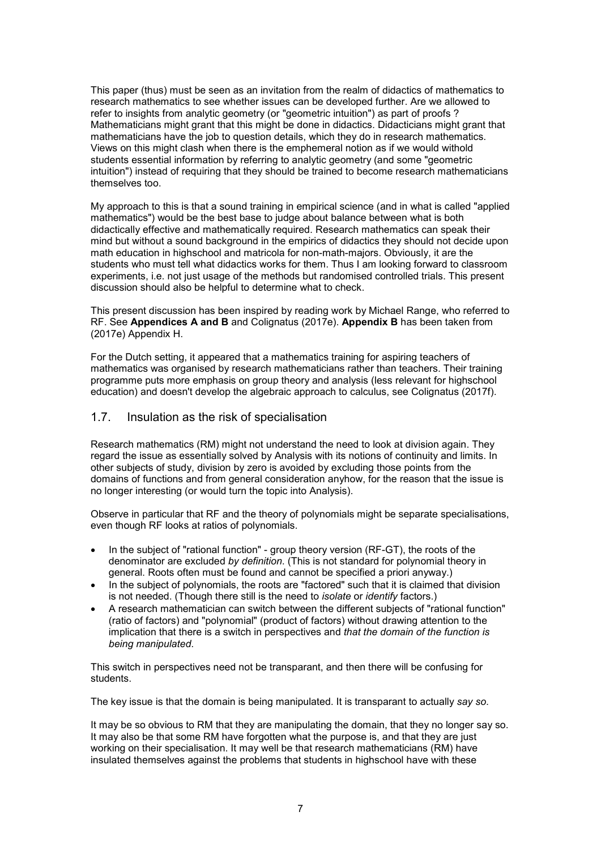This paper (thus) must be seen as an invitation from the realm of didactics of mathematics to research mathematics to see whether issues can be developed further. Are we allowed to refer to insights from analytic geometry (or "geometric intuition") as part of proofs ? Mathematicians might grant that this might be done in didactics. Didacticians might grant that mathematicians have the job to question details, which they do in research mathematics. Views on this might clash when there is the emphemeral notion as if we would withold students essential information by referring to analytic geometry (and some "geometric intuition") instead of requiring that they should be trained to become research mathematicians themselves too.

My approach to this is that a sound training in empirical science (and in what is called "applied mathematics") would be the best base to judge about balance between what is both didactically effective and mathematically required. Research mathematics can speak their mind but without a sound background in the empirics of didactics they should not decide upon math education in highschool and matricola for non-math-majors. Obviously, it are the students who must tell what didactics works for them. Thus I am looking forward to classroom experiments, i.e. not just usage of the methods but randomised controlled trials. This present discussion should also be helpful to determine what to check.

This present discussion has been inspired by reading work by Michael Range, who referred to RF. See **Appendices A and B** and Colignatus (2017e). **Appendix B** has been taken from (2017e) Appendix H.

For the Dutch setting, it appeared that a mathematics training for aspiring teachers of mathematics was organised by research mathematicians rather than teachers. Their training programme puts more emphasis on group theory and analysis (less relevant for highschool education) and doesn't develop the algebraic approach to calculus, see Colignatus (2017f).

### 1.7. Insulation as the risk of specialisation

Research mathematics (RM) might not understand the need to look at division again. They regard the issue as essentially solved by Analysis with its notions of continuity and limits. In other subjects of study, division by zero is avoided by excluding those points from the domains of functions and from general consideration anyhow, for the reason that the issue is no longer interesting (or would turn the topic into Analysis).

Observe in particular that RF and the theory of polynomials might be separate specialisations, even though RF looks at ratios of polynomials.

- In the subject of "rational function" group theory version (RF-GT), the roots of the denominator are excluded *by definition*. (This is not standard for polynomial theory in general. Roots often must be found and cannot be specified a priori anyway.)
- In the subject of polynomials, the roots are "factored" such that it is claimed that division is not needed. (Though there still is the need to *isolate* or *identify* factors.)
- A research mathematician can switch between the different subjects of "rational function" (ratio of factors) and "polynomial" (product of factors) without drawing attention to the implication that there is a switch in perspectives and *that the domain of the function is being manipulated*.

This switch in perspectives need not be transparant, and then there will be confusing for students.

The key issue is that the domain is being manipulated. It is transparant to actually *say so*.

It may be so obvious to RM that they are manipulating the domain, that they no longer say so. It may also be that some RM have forgotten what the purpose is, and that they are just working on their specialisation. It may well be that research mathematicians (RM) have insulated themselves against the problems that students in highschool have with these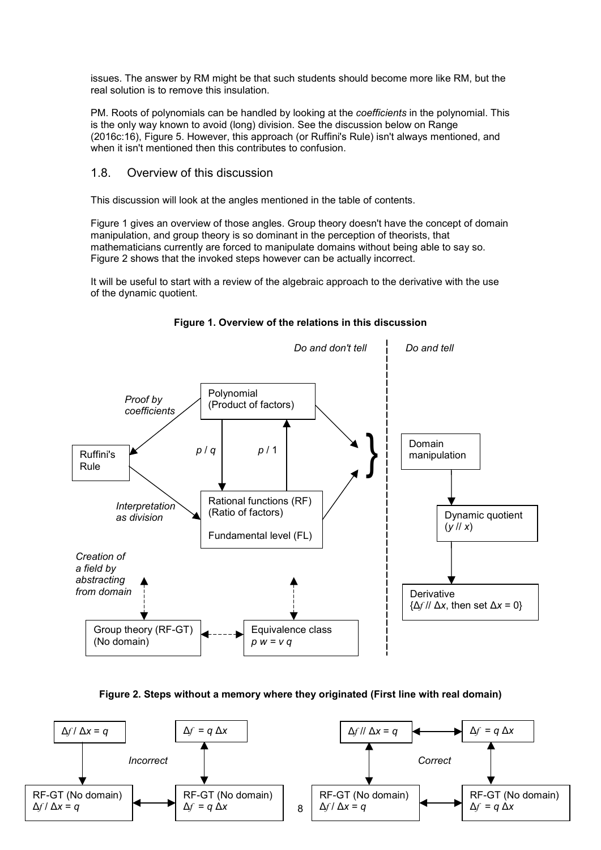issues. The answer by RM might be that such students should become more like RM, but the real solution is to remove this insulation.

PM. Roots of polynomials can be handled by looking at the *coefficients* in the polynomial. This is the only way known to avoid (long) division. See the discussion below on Range (2016c:16), Figure 5. However, this approach (or Ruffini's Rule) isn't always mentioned, and when it isn't mentioned then this contributes to confusion.

### 1.8. Overview of this discussion

This discussion will look at the angles mentioned in the table of contents.

Figure 1 gives an overview of those angles. Group theory doesn't have the concept of domain manipulation, and group theory is so dominant in the perception of theorists, that mathematicians currently are forced to manipulate domains without being able to say so. Figure 2 shows that the invoked steps however can be actually incorrect.

It will be useful to start with a review of the algebraic approach to the derivative with the use of the dynamic quotient.



**Figure 1. Overview of the relations in this discussion**

**Figure 2. Steps without a memory where they originated (First line with real domain)**

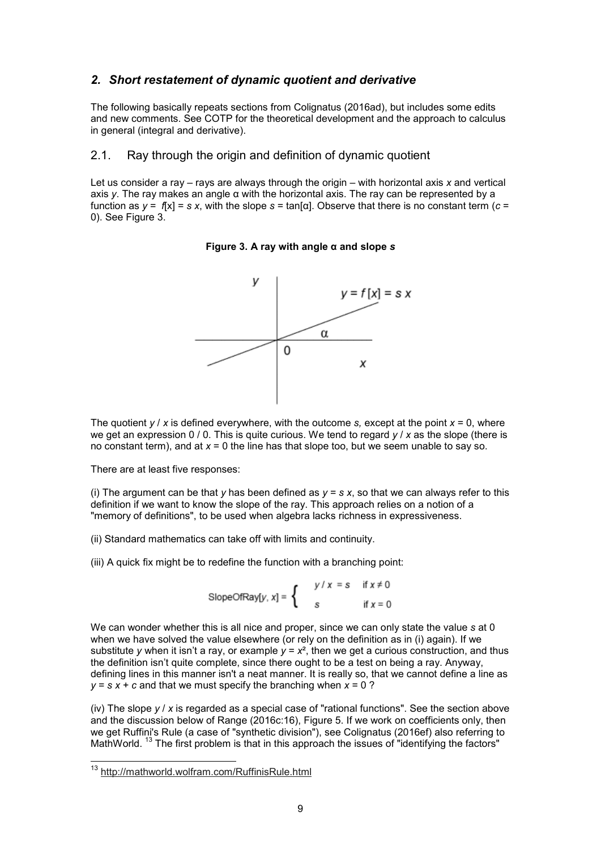# *2. Short restatement of dynamic quotient and derivative*

The following basically repeats sections from Colignatus (2016ad), but includes some edits and new comments. See COTP for the theoretical development and the approach to calculus in general (integral and derivative).

### 2.1. Ray through the origin and definition of dynamic quotient

Let us consider a ray – rays are always through the origin – with horizontal axis *x* and vertical axis *y*. The ray makes an angle α with the horizontal axis. The ray can be represented by a function as  $y = f[x] = s x$ , with the slope  $s = \tan[\alpha]$ . Observe that there is no constant term  $(c =$ 0). See Figure 3.

#### **Figure 3. A ray with angle α and slope** *s*



The quotient  $y / x$  is defined everywhere, with the outcome *s*, except at the point  $x = 0$ , where we get an expression 0 / 0. This is quite curious. We tend to regard *y* / *x* as the slope (there is no constant term), and at *x* = 0 the line has that slope too, but we seem unable to say so.

There are at least five responses:

(i) The argument can be that *y* has been defined as  $y = s x$ , so that we can always refer to this definition if we want to know the slope of the ray. This approach relies on a notion of a "memory of definitions", to be used when algebra lacks richness in expressiveness.

(ii) Standard mathematics can take off with limits and continuity.

(iii) A quick fix might be to redefine the function with a branching point:

SlopeOfRay[y, x] =  $\begin{cases} y/x = s & \text{if } x \neq 0 \\ s & \text{if } x = 0 \end{cases}$ 

We can wonder whether this is all nice and proper, since we can only state the value *s* at 0 when we have solved the value elsewhere (or rely on the definition as in (i) again). If we substitute *y* when it isn't a ray, or example  $y = x^2$ , then we get a curious construction, and thus the definition isn't quite complete, since there ought to be a test on being a ray. Anyway, defining lines in this manner isn't a neat manner. It is really so, that we cannot define a line as  $v = s x + c$  and that we must specify the branching when  $x = 0$  ?

(iv) The slope *y* / *x* is regarded as a special case of "rational functions". See the section above and the discussion below of Range (2016c:16), Figure 5. If we work on coefficients only, then we get Ruffini's Rule (a case of "synthetic division"), see Colignatus (2016ef) also referring to MathWorld. <sup>13</sup> The first problem is that in this approach the issues of "identifying the factors"

<sup>13</sup> http://mathworld.wolfram.com/RuffinisRule.html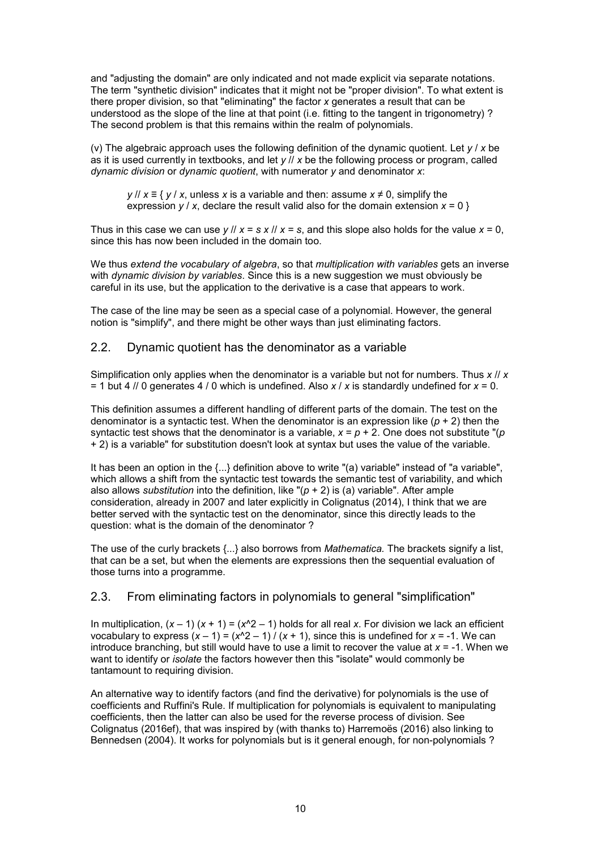and "adjusting the domain" are only indicated and not made explicit via separate notations. The term "synthetic division" indicates that it might not be "proper division". To what extent is there proper division, so that "eliminating" the factor *x* generates a result that can be understood as the slope of the line at that point (i.e. fitting to the tangent in trigonometry) ? The second problem is that this remains within the realm of polynomials.

(v) The algebraic approach uses the following definition of the dynamic quotient. Let *y* / *x* be as it is used currently in textbooks, and let *y* // *x* be the following process or program, called *dynamic division* or *dynamic quotient*, with numerator *y* and denominator *x*:

*y* // *x* ≡ { *y* / *x*, unless *x* is a variable and then: assume *x* ≠ 0, simplify the expression  $y / x$ , declare the result valid also for the domain extension  $x = 0$  }

Thus in this case we can use  $y / y = s x / y = s$ , and this slope also holds for the value  $x = 0$ . since this has now been included in the domain too.

We thus *extend the vocabulary of algebra*, so that *multiplication with variables* gets an inverse with *dynamic division by variables*. Since this is a new suggestion we must obviously be careful in its use, but the application to the derivative is a case that appears to work.

The case of the line may be seen as a special case of a polynomial. However, the general notion is "simplify", and there might be other ways than just eliminating factors.

### 2.2. Dynamic quotient has the denominator as a variable

Simplification only applies when the denominator is a variable but not for numbers. Thus *x* // *x* = 1 but 4 // 0 generates 4 / 0 which is undefined. Also *x* / *x* is standardly undefined for *x* = 0.

This definition assumes a different handling of different parts of the domain. The test on the denominator is a syntactic test. When the denominator is an expression like  $(p + 2)$  then the syntactic test shows that the denominator is a variable, *x* = *p* + 2. One does not substitute "(*p* + 2) is a variable" for substitution doesn't look at syntax but uses the value of the variable.

It has been an option in the {...} definition above to write "(a) variable" instead of "a variable", which allows a shift from the syntactic test towards the semantic test of variability, and which also allows *substitution* into the definition, like "(*p* + 2) is (a) variable". After ample consideration, already in 2007 and later explicitly in Colignatus (2014), I think that we are better served with the syntactic test on the denominator, since this directly leads to the question: what is the domain of the denominator ?

The use of the curly brackets {...} also borrows from *Mathematica.* The brackets signify a list, that can be a set, but when the elements are expressions then the sequential evaluation of those turns into a programme.

# 2.3. From eliminating factors in polynomials to general "simplification"

In multiplication,  $(x - 1) (x + 1) = (x^2 - 1)$  holds for all real *x*. For division we lack an efficient vocabulary to express  $(x - 1) = (x<sup>2</sup> - 1) / (x + 1)$ , since this is undefined for  $x = -1$ . We can introduce branching, but still would have to use a limit to recover the value at *x* = -1. When we want to identify or *isolate* the factors however then this "isolate" would commonly be tantamount to requiring division.

An alternative way to identify factors (and find the derivative) for polynomials is the use of coefficients and Ruffini's Rule. If multiplication for polynomials is equivalent to manipulating coefficients, then the latter can also be used for the reverse process of division. See Colignatus (2016ef), that was inspired by (with thanks to) Harremoës (2016) also linking to Bennedsen (2004). It works for polynomials but is it general enough, for non-polynomials ?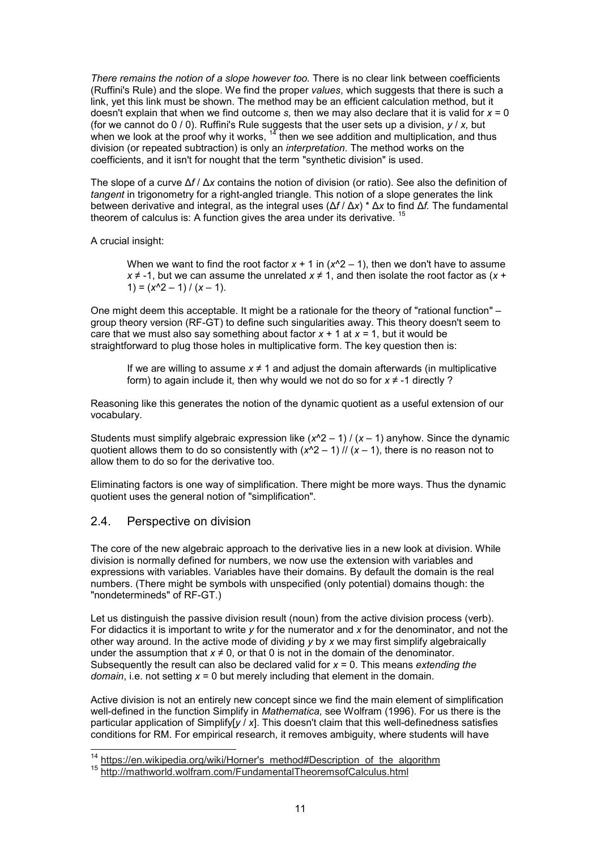*There remains the notion of a slope however too.* There is no clear link between coefficients (Ruffini's Rule) and the slope. We find the proper *values*, which suggests that there is such a link, yet this link must be shown. The method may be an efficient calculation method, but it doesn't explain that when we find outcome *s,* then we may also declare that it is valid for *x* = 0 (for we cannot do 0 / 0). Ruffini's Rule suggests that the user sets up a division, *y* / *x,* but when we look at the proof why it works,  $^{\vphantom{\mathrm{1}}\mathbf{4}}$  then we see addition and multiplication, and thus division (or repeated subtraction) is only an *interpretation*. The method works on the coefficients, and it isn't for nought that the term "synthetic division" is used.

The slope of a curve Δ*f* / Δ*x* contains the notion of division (or ratio). See also the definition of tangent in trigonometry for a right-angled triangle. This notion of a slope generates the link between derivative and integral, as the integral uses (Δ*f* / Δ*x*) \* Δ*x* to find Δ*f.* The fundamental theorem of calculus is: A function gives the area under its derivative. <sup>15</sup>

A crucial insight:

When we want to find the root factor  $x + 1$  in  $(x^2 - 1)$ , then we don't have to assume *x* ≠ -1, but we can assume the unrelated *x* ≠ 1, and then isolate the root factor as (*x* +  $1) = (x^2 - 1) / (x - 1).$ 

One might deem this acceptable. It might be a rationale for the theory of "rational function" – group theory version (RF-GT) to define such singularities away. This theory doesn't seem to care that we must also say something about factor  $x + 1$  at  $x = 1$ , but it would be straightforward to plug those holes in multiplicative form. The key question then is:

If we are willing to assume  $x \neq 1$  and adjust the domain afterwards (in multiplicative form) to again include it, then why would we not do so for  $x \neq -1$  directly ?

Reasoning like this generates the notion of the dynamic quotient as a useful extension of our vocabulary.

Students must simplify algebraic expression like  $(x^2 - 1) / (x - 1)$  anyhow. Since the dynamic quotient allows them to do so consistently with  $(x^2 - 1)$  //  $(x - 1)$ , there is no reason not to allow them to do so for the derivative too.

Eliminating factors is one way of simplification. There might be more ways. Thus the dynamic quotient uses the general notion of "simplification".

# 2.4. Perspective on division

j

The core of the new algebraic approach to the derivative lies in a new look at division. While division is normally defined for numbers, we now use the extension with variables and expressions with variables. Variables have their domains. By default the domain is the real numbers. (There might be symbols with unspecified (only potential) domains though: the "nondetermineds" of RF-GT.)

Let us distinguish the passive division result (noun) from the active division process (verb). For didactics it is important to write *y* for the numerator and *x* for the denominator, and not the other way around. In the active mode of dividing *y* by *x* we may first simplify algebraically under the assumption that  $x \neq 0$ , or that 0 is not in the domain of the denominator. Subsequently the result can also be declared valid for *x* = 0. This means *extending the domain*, i.e. not setting *x* = 0 but merely including that element in the domain.

Active division is not an entirely new concept since we find the main element of simplification well-defined in the function Simplify in *Mathematica,* see Wolfram (1996). For us there is the particular application of Simplify[*y* / *x*]. This doesn't claim that this well-definedness satisfies conditions for RM. For empirical research, it removes ambiguity, where students will have

<sup>&</sup>lt;sup>14</sup> https://en.wikipedia.org/wiki/Horner's\_method#Description\_of\_the\_algorithm

<sup>15</sup> http://mathworld.wolfram.com/FundamentalTheoremsofCalculus.html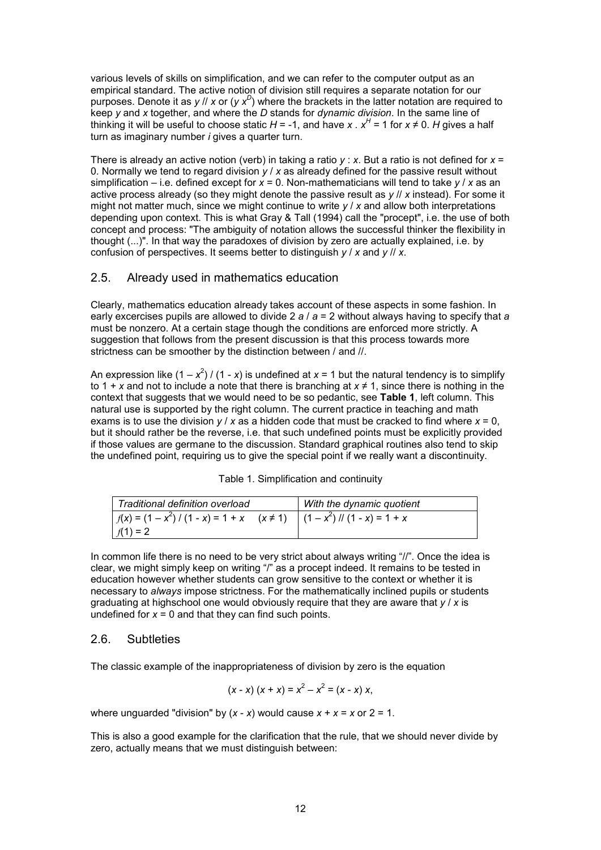various levels of skills on simplification, and we can refer to the computer output as an empirical standard. The active notion of division still requires a separate notation for our purposes. Denote it as *y* // *x* or (*y x<sup>D</sup>* ) where the brackets in the latter notation are required to keep *y* and *x* together, and where the *D* stands for *dynamic division*. In the same line of thinking it will be useful to choose static  $H$  = -1, and have *x . x<sup>H</sup>* = 1 for *x* ≠ 0. *H* gives a half turn as imaginary number *i* gives a quarter turn.

There is already an active notion (verb) in taking a ratio *y* : *x*. But a ratio is not defined for *x* = 0. Normally we tend to regard division *y* / *x* as already defined for the passive result without simplification – i.e. defined except for *x* = 0. Non-mathematicians will tend to take *y* / *x* as an active process already (so they might denote the passive result as *y* // *x* instead). For some it might not matter much, since we might continue to write *y* / *x* and allow both interpretations depending upon context. This is what Gray & Tall (1994) call the "procept", i.e. the use of both concept and process: "The ambiguity of notation allows the successful thinker the flexibility in thought (...)". In that way the paradoxes of division by zero are actually explained, i.e. by confusion of perspectives. It seems better to distinguish *y* / *x* and *y* // *x*.

# 2.5. Already used in mathematics education

Clearly, mathematics education already takes account of these aspects in some fashion. In early excercises pupils are allowed to divide 2 *a* / *a* = 2 without always having to specify that *a* must be nonzero. At a certain stage though the conditions are enforced more strictly. A suggestion that follows from the present discussion is that this process towards more strictness can be smoother by the distinction between / and //.

An expression like (1 –  $x^2$ ) / (1 - *x*) is undefined at *x* = 1 but the natural tendency is to simplify to 1 + *x* and not to include a note that there is branching at  $x \ne 1$ , since there is nothing in the context that suggests that we would need to be so pedantic, see **Table 1**, left column. This natural use is supported by the right column. The current practice in teaching and math exams is to use the division *y* / *x* as a hidden code that must be cracked to find where *x* = 0, but it should rather be the reverse, i.e. that such undefined points must be explicitly provided if those values are germane to the discussion. Standard graphical routines also tend to skip the undefined point, requiring us to give the special point if we really want a discontinuity.

|  | Table 1. Simplification and continuity |  |  |  |
|--|----------------------------------------|--|--|--|
|--|----------------------------------------|--|--|--|

| Traditional definition overload                                                        | With the dynamic quotient |
|----------------------------------------------------------------------------------------|---------------------------|
| $f(x) = (1 - x^2) / (1 - x) = 1 + x \quad (x \ne 1) \quad (1 - x^2) / (1 - x) = 1 + x$ |                           |
| $f(1) = 2$                                                                             |                           |

In common life there is no need to be very strict about always writing "//". Once the idea is clear, we might simply keep on writing "/" as a procept indeed. It remains to be tested in education however whether students can grow sensitive to the context or whether it is necessary to *always* impose strictness. For the mathematically inclined pupils or students graduating at highschool one would obviously require that they are aware that *y* / *x* is undefined for  $x = 0$  and that they can find such points.

# 2.6. Subtleties

The classic example of the inappropriateness of division by zero is the equation

$$
(x - x) (x + x) = x2 - x2 = (x - x) x,
$$

where unguarded "division" by  $(x - x)$  would cause  $x + x = x$  or  $2 = 1$ .

This is also a good example for the clarification that the rule, that we should never divide by zero, actually means that we must distinguish between: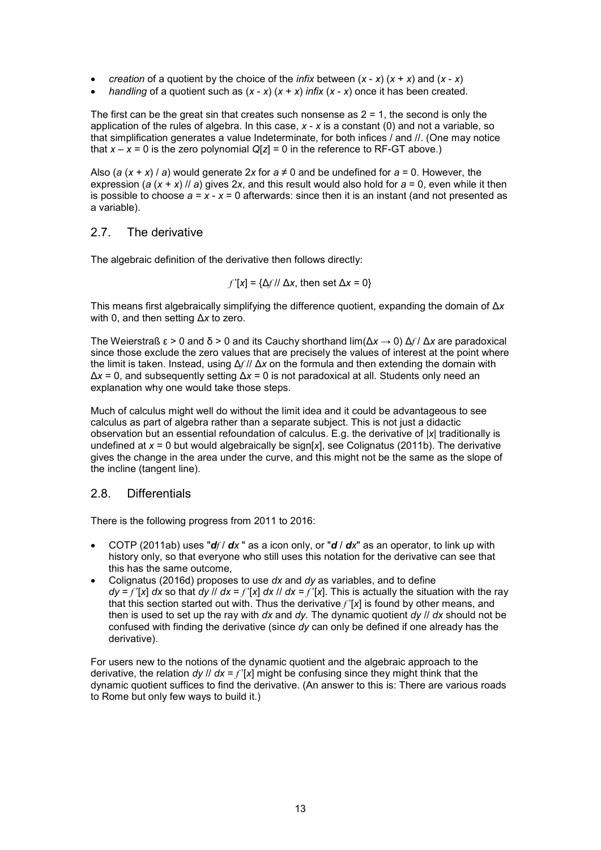- *creation* of a quotient by the choice of the *infix* between  $(x x)(x + x)$  and  $(x x)$
- *handling* of a quotient such as (*x x*) (*x* + *x*) *infix* (*x x*) once it has been created.

The first can be the great sin that creates such nonsense as  $2 = 1$ , the second is only the application of the rules of algebra. In this case, *x* - *x* is a constant (0) and not a variable, so that simplification generates a value Indeterminate, for both infices / and //. (One may notice that  $x - x = 0$  is the zero polynomial  $Q[z] = 0$  in the reference to RF-GT above.)

Also (*a* ( $x + x$ ) *a*) would generate 2x for  $a \neq 0$  and be undefined for  $a = 0$ . However, the expression ( $a(x + x)$  //  $a$ ) gives 2x, and this result would also hold for  $a = 0$ , even while it then is possible to choose  $a = x - x = 0$  afterwards: since then it is an instant (and not presented as a variable).

# 2.7. The derivative

The algebraic definition of the derivative then follows directly:

$$
f'[x] = \{ \Delta f / \Delta x, \text{ then set } \Delta x = 0 \}
$$

This means first algebraically simplifying the difference quotient, expanding the domain of Δ*x* with 0, and then setting Δ*x* to zero.

The Weierstraß ε > 0 and δ > 0 and its Cauchy shorthand lim(Δ*x* → 0) Δ*f* / Δ*x* are paradoxical since those exclude the zero values that are precisely the values of interest at the point where the limit is taken. Instead, using Δ*f* // Δ*x* on the formula and then extending the domain with Δ*x* = 0, and subsequently setting Δ*x* = 0 is not paradoxical at all. Students only need an explanation why one would take those steps.

Much of calculus might well do without the limit idea and it could be advantageous to see calculus as part of algebra rather than a separate subject. This is not just a didactic observation but an essential refoundation of calculus. E.g. the derivative of |*x*| traditionally is undefined at *x* = 0 but would algebraically be sign[*x*], see Colignatus (2011b). The derivative gives the change in the area under the curve, and this might not be the same as the slope of the incline (tangent line).

# 2.8. Differentials

There is the following progress from 2011 to 2016:

- COTP (2011ab) uses "*df* / *dx* " as a icon only, or "*d* / *dx*" as an operator, to link up with history only, so that everyone who still uses this notation for the derivative can see that this has the same outcome,
- Colignatus (2016d) proposes to use *dx* and *dy* as variables, and to define  $dv = f'$ [*x*] *dx* so that  $dv / v/dx = f'$ [*x*] *dx*  $v/dx = f'$ [*x*]. This is actually the situation with the ray that this section started out with. Thus the derivative *f* '[*x*] is found by other means, and then is used to set up the ray with *dx* and *dy.* The dynamic quotient *dy* // *dx* should not be confused with finding the derivative (since *dy* can only be defined if one already has the derivative).

For users new to the notions of the dynamic quotient and the algebraic approach to the derivative, the relation *dy //*  $dx = f'$   $[x]$  might be confusing since they might think that the dynamic quotient suffices to find the derivative. (An answer to this is: There are various roads to Rome but only few ways to build it.)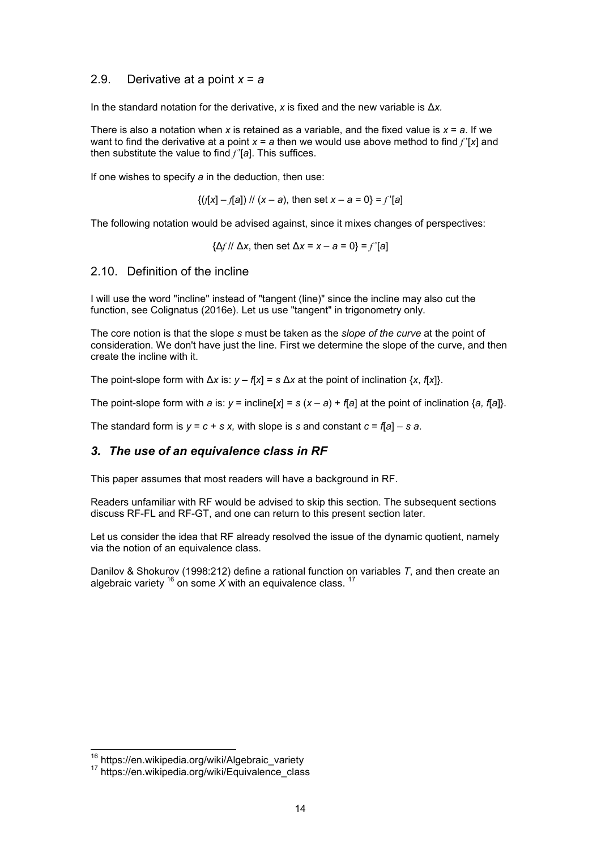## 2.9. Derivative at a point *x* = *a*

In the standard notation for the derivative, *x* is fixed and the new variable is Δ*x.*

There is also a notation when x is retained as a variable, and the fixed value is  $x = a$ . If we want to find the derivative at a point *x* = *a* then we would use above method to find *f* '[*x*] and then substitute the value to find *f* '[*a*]. This suffices.

If one wishes to specify *a* in the deduction, then use:

$$
\{(f[x] - f[a]) \mid f(x - a), \text{ then set } x - a = 0\} = f'[a]
$$

The following notation would be advised against, since it mixes changes of perspectives:

{Δ*f* // Δ*x*, then set Δ*x* = *x – a* = 0} = *f* '[*a*]

2.10. Definition of the incline

I will use the word "incline" instead of "tangent (line)" since the incline may also cut the function, see Colignatus (2016e). Let us use "tangent" in trigonometry only.

The core notion is that the slope *s* must be taken as the *slope of the curve* at the point of consideration. We don't have just the line. First we determine the slope of the curve, and then create the incline with it.

The point-slope form with  $\Delta x$  is:  $y - f[x] = s \Delta x$  at the point of inclination  $\{x, f[x]\}$ .

The point-slope form with *a* is:  $y = \text{include}[x] = s(x - a) + f(a)$  at the point of inclination  $\{a, f(a)\}$ .

The standard form is  $y = c + s x$ , with slope is s and constant  $c = f[a] - s a$ .

## *3. The use of an equivalence class in RF*

This paper assumes that most readers will have a background in RF.

Readers unfamiliar with RF would be advised to skip this section. The subsequent sections discuss RF-FL and RF-GT, and one can return to this present section later.

Let us consider the idea that RF already resolved the issue of the dynamic quotient, namely via the notion of an equivalence class.

Danilov & Shokurov (1998:212) define a rational function on variables *T*, and then create an algebraic variety  $16$  on some X with an equivalence class.  $17$ 

j

<sup>&</sup>lt;sup>16</sup> https://en.wikipedia.org/wiki/Algebraic\_variety

<sup>17</sup> https://en.wikipedia.org/wiki/Equivalence\_class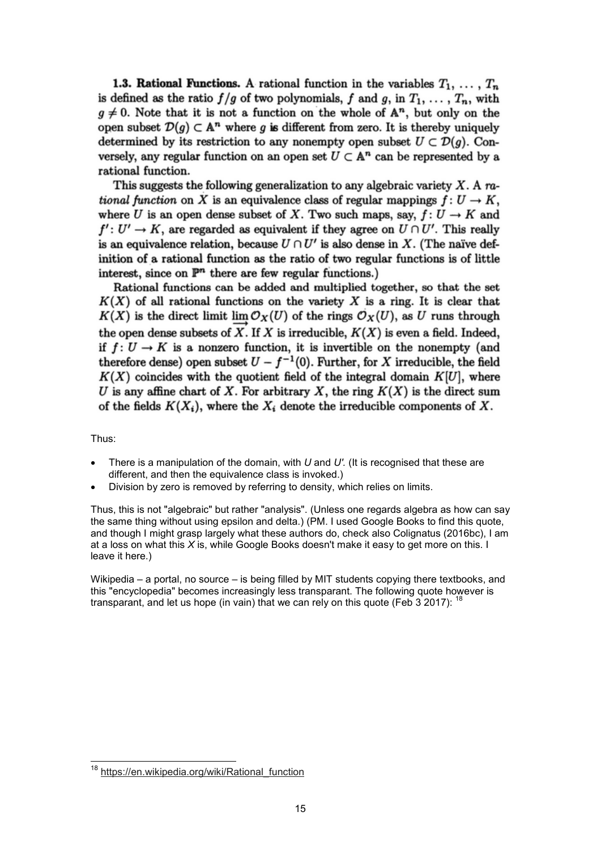1.3. Rational Functions. A rational function in the variables  $T_1, \ldots, T_n$ is defined as the ratio  $f/g$  of two polynomials, f and g, in  $T_1, \ldots, T_n$ , with  $g \neq 0$ . Note that it is not a function on the whole of  $A^n$ , but only on the open subset  $\mathcal{D}(q) \subset \mathbb{A}^n$  where g is different from zero. It is thereby uniquely determined by its restriction to any nonempty open subset  $U \subset \mathcal{D}(q)$ . Conversely, any regular function on an open set  $U \subset \mathbb{A}^n$  can be represented by a rational function.

This suggests the following generalization to any algebraic variety  $X$ . A rational function on X is an equivalence class of regular mappings  $f: U \to K$ , where U is an open dense subset of X. Two such maps, say,  $f: U \to K$  and  $f': U' \to K$ , are regarded as equivalent if they agree on  $U \cap U'$ . This really is an equivalence relation, because  $U \cap U'$  is also dense in X. (The naïve definition of a rational function as the ratio of two regular functions is of little interest, since on  $\mathbb{P}^n$  there are few regular functions.)

Rational functions can be added and multiplied together, so that the set  $K(X)$  of all rational functions on the variety X is a ring. It is clear that  $K(X)$  is the direct limit  $\lim_{N \to \infty} \mathcal{O}_X(U)$  of the rings  $\mathcal{O}_X(U)$ , as U runs through the open dense subsets of  $\overrightarrow{X}$ . If X is irreducible,  $K(X)$  is even a field. Indeed, if  $f: U \to K$  is a nonzero function, it is invertible on the nonempty (and therefore dense) open subset  $U - f^{-1}(0)$ . Further, for X irreducible, the field  $K(X)$  coincides with the quotient field of the integral domain  $K[U]$ , where U is any affine chart of X. For arbitrary X, the ring  $K(X)$  is the direct sum of the fields  $K(X_i)$ , where the  $X_i$  denote the irreducible components of X.

Thus:

j

- There is a manipulation of the domain, with *U* and *U'.* (It is recognised that these are different, and then the equivalence class is invoked.)
- Division by zero is removed by referring to density, which relies on limits.

Thus, this is not "algebraic" but rather "analysis". (Unless one regards algebra as how can say the same thing without using epsilon and delta.) (PM. I used Google Books to find this quote, and though I might grasp largely what these authors do, check also Colignatus (2016bc), I am at a loss on what this *X* is, while Google Books doesn't make it easy to get more on this. I leave it here.)

Wikipedia – a portal, no source – is being filled by MIT students copying there textbooks, and this "encyclopedia" becomes increasingly less transparant. The following quote however is transparant, and let us hope (in vain) that we can rely on this quote (Feb 3 2017):  $^1$ 

https://en.wikipedia.org/wiki/Rational\_function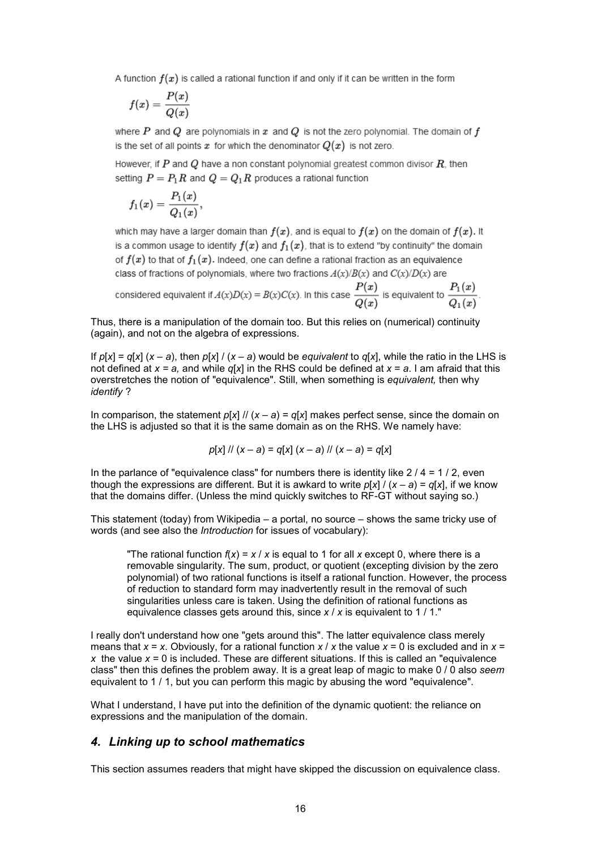A function  $f(x)$  is called a rational function if and only if it can be written in the form

$$
f(x)=\frac{P(x)}{Q(x)}
$$

where P and Q are polynomials in x and Q is not the zero polynomial. The domain of f is the set of all points x for which the denominator  $Q(x)$  is not zero.

However, if  $P$  and  $Q$  have a non constant polynomial greatest common divisor  $R$ , then setting  $P = P_1 R$  and  $Q = Q_1 R$  produces a rational function

$$
f_1(x)=\frac{P_1(x)}{Q_1(x)},
$$

which may have a larger domain than  $f(x)$ , and is equal to  $f(x)$  on the domain of  $f(x)$ . It is a common usage to identify  $f(x)$  and  $f_1(x)$ , that is to extend "by continuity" the domain of  $f(x)$  to that of  $f_1(x)$ . Indeed, one can define a rational fraction as an equivalence class of fractions of polynomials, where two fractions  $A(x)/B(x)$  and  $C(x)/D(x)$  are

considered equivalent if 
$$
A(x)D(x) = B(x)C(x)
$$
. In this case  $\frac{P(x)}{Q(x)}$  is equivalent to  $\frac{P_1(x)}{Q_1(x)}$ 

Thus, there is a manipulation of the domain too. But this relies on (numerical) continuity (again), and not on the algebra of expressions.

If  $p[x] = q[x]$   $(x - a)$ , then  $p[x] / (x - a)$  would be *equivalent* to  $q[x]$ , while the ratio in the LHS is not defined at *x = a,* and while *q*[*x*] in the RHS could be defined at *x* = *a*. I am afraid that this overstretches the notion of "equivalence". Still, when something is *equivalent,* then why *identify* ?

In comparison, the statement  $p[x]$  //  $(x - a) = q[x]$  makes perfect sense, since the domain on the LHS is adjusted so that it is the same domain as on the RHS. We namely have:

$$
p[x]/(x-a) = q[x](x-a)/(x-a) = q[x]
$$

In the parlance of "equivalence class" for numbers there is identity like  $2/4 = 1/2$ , even though the expressions are different. But it is awkard to write  $p[x]/(x-a) = q[x]$ , if we know that the domains differ. (Unless the mind quickly switches to RF-GT without saying so.)

This statement (today) from Wikipedia – a portal, no source – shows the same tricky use of words (and see also the *Introduction* for issues of vocabulary):

"The rational function  $f(x) = x / x$  is equal to 1 for all x except 0, where there is a removable singularity. The sum, product, or quotient (excepting division by the zero polynomial) of two rational functions is itself a rational function. However, the process of reduction to standard form may inadvertently result in the removal of such singularities unless care is taken. Using the definition of rational functions as equivalence classes gets around this, since *x* / *x* is equivalent to 1 / 1."

I really don't understand how one "gets around this". The latter equivalence class merely means that *x* = *x*. Obviously, for a rational function *x* / *x* the value *x* = 0 is excluded and in *x* = *x* the value *x* = 0 is included. These are different situations. If this is called an "equivalence class" then this defines the problem away. It is a great leap of magic to make 0 / 0 also *seem* equivalent to 1 / 1, but you can perform this magic by abusing the word "equivalence".

What I understand, I have put into the definition of the dynamic quotient: the reliance on expressions and the manipulation of the domain.

#### *4. Linking up to school mathematics*

This section assumes readers that might have skipped the discussion on equivalence class.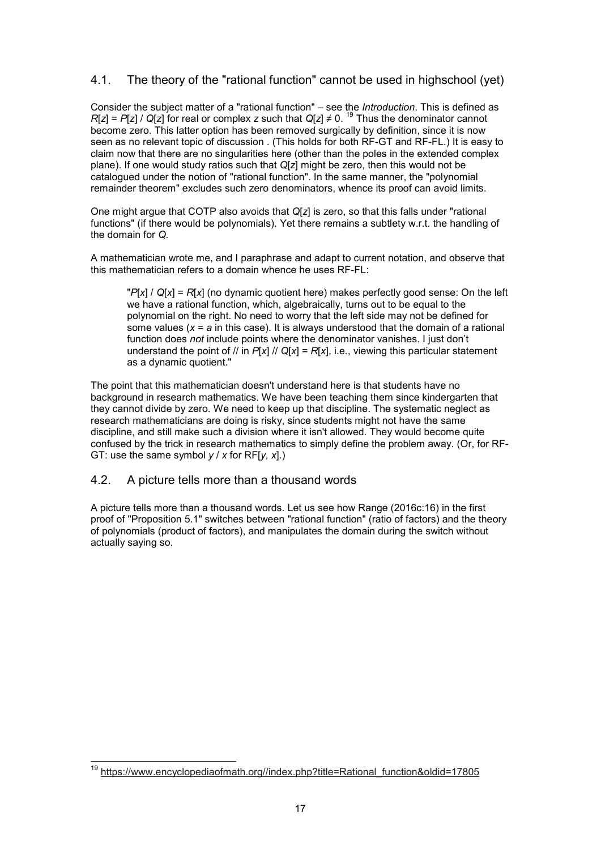# 4.1. The theory of the "rational function" cannot be used in highschool (yet)

Consider the subject matter of a "rational function" – see the *Introduction*. This is defined as *R*[*z*] = *P*[*z*] / *Q*[*z*] for real or complex *z* such that *Q*[*z*] ≠ 0. <sup>19</sup> Thus the denominator cannot become zero. This latter option has been removed surgically by definition, since it is now seen as no relevant topic of discussion . (This holds for both RF-GT and RF-FL.) It is easy to claim now that there are no singularities here (other than the poles in the extended complex plane). If one would study ratios such that *Q*[*z*] might be zero, then this would not be catalogued under the notion of "rational function". In the same manner, the "polynomial remainder theorem" excludes such zero denominators, whence its proof can avoid limits.

One might argue that COTP also avoids that *Q*[*z*] is zero, so that this falls under "rational functions" (if there would be polynomials). Yet there remains a subtlety w.r.t. the handling of the domain for *Q.*

A mathematician wrote me, and I paraphrase and adapt to current notation, and observe that this mathematician refers to a domain whence he uses RF-FL:

"*P*[*x*] / *Q*[*x*] = *R*[*x*] (no dynamic quotient here) makes perfectly good sense: On the left we have a rational function, which, algebraically, turns out to be equal to the polynomial on the right. No need to worry that the left side may not be defined for some values (*x* = *a* in this case). It is always understood that the domain of a rational function does *not* include points where the denominator vanishes. I just don't understand the point of // in *P*[*x*] // *Q*[*x*] = *R*[*x*], i.e., viewing this particular statement as a dynamic quotient."

The point that this mathematician doesn't understand here is that students have no background in research mathematics. We have been teaching them since kindergarten that they cannot divide by zero. We need to keep up that discipline. The systematic neglect as research mathematicians are doing is risky, since students might not have the same discipline, and still make such a division where it isn't allowed. They would become quite confused by the trick in research mathematics to simply define the problem away. (Or, for RF-GT: use the same symbol *y* / *x* for RF[*y, x*].)

# 4.2. A picture tells more than a thousand words

A picture tells more than a thousand words. Let us see how Range (2016c:16) in the first proof of "Proposition 5.1" switches between "rational function" (ratio of factors) and the theory of polynomials (product of factors), and manipulates the domain during the switch without actually saying so.

j <sup>19</sup> https://www.encyclopediaofmath.org//index.php?title=Rational\_function&oldid=17805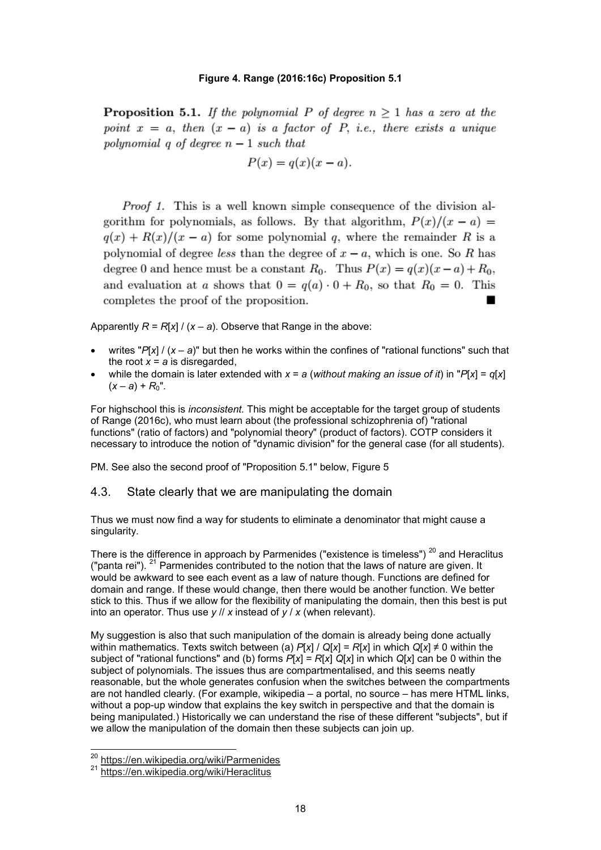#### **Figure 4. Range (2016:16c) Proposition 5.1**

**Proposition 5.1.** If the polynomial P of degree  $n \geq 1$  has a zero at the point  $x = a$ , then  $(x - a)$  is a factor of P, i.e., there exists a unique polynomial q of degree  $n-1$  such that

$$
P(x) = q(x)(x - a).
$$

*Proof 1.* This is a well known simple consequence of the division algorithm for polynomials, as follows. By that algorithm,  $P(x)/(x-a) =$  $q(x) + R(x)/(x - a)$  for some polynomial q, where the remainder R is a polynomial of degree *less* than the degree of  $x - a$ , which is one. So R has degree 0 and hence must be a constant  $R_0$ . Thus  $P(x) = q(x)(x-a) + R_0$ , and evaluation at a shows that  $0 = q(a) \cdot 0 + R_0$ , so that  $R_0 = 0$ . This completes the proof of the proposition.

Apparently  $R = R[x]/(x - a)$ . Observe that Range in the above:

- writes " $P[x] / (x a)$ " but then he works within the confines of "rational functions" such that the root  $x = a$  is disregarded,
- while the domain is later extended with *x* = *a* (*without making an issue of it*) in "*P*[*x*] = *q*[*x*]  $(x - a) + R_0"$ .

For highschool this is *inconsistent.* This might be acceptable for the target group of students of Range (2016c), who must learn about (the professional schizophrenia of) "rational functions" (ratio of factors) and "polynomial theory" (product of factors). COTP considers it necessary to introduce the notion of "dynamic division" for the general case (for all students).

PM. See also the second proof of "Proposition 5.1" below, Figure 5

#### 4.3. State clearly that we are manipulating the domain

Thus we must now find a way for students to eliminate a denominator that might cause a singularity.

There is the difference in approach by Parmenides ("existence is timeless")  $20$  and Heraclitus ("panta rei").  $21$  Parmenides contributed to the notion that the laws of nature are given. It would be awkward to see each event as a law of nature though. Functions are defined for domain and range. If these would change, then there would be another function. We better stick to this. Thus if we allow for the flexibility of manipulating the domain, then this best is put into an operator. Thus use *y* // *x* instead of *y* / *x* (when relevant).

My suggestion is also that such manipulation of the domain is already being done actually within mathematics. Texts switch between (a)  $P[x] / Q[x] = R[x]$  in which  $Q[x] \neq 0$  within the subject of "rational functions" and (b) forms *P*[*x*] = *R*[*x*] *Q*[*x*] in which *Q*[*x*] can be 0 within the subject of polynomials. The issues thus are compartmentalised, and this seems neatly reasonable, but the whole generates confusion when the switches between the compartments are not handled clearly. (For example, wikipedia – a portal, no source – has mere HTML links, without a pop-up window that explains the key switch in perspective and that the domain is being manipulated.) Historically we can understand the rise of these different "subjects", but if we allow the manipulation of the domain then these subjects can join up.

l

<sup>&</sup>lt;sup>20</sup> https://en.wikipedia.org/wiki/Parmenides

<sup>&</sup>lt;sup>21</sup> https://en.wikipedia.org/wiki/Heraclitus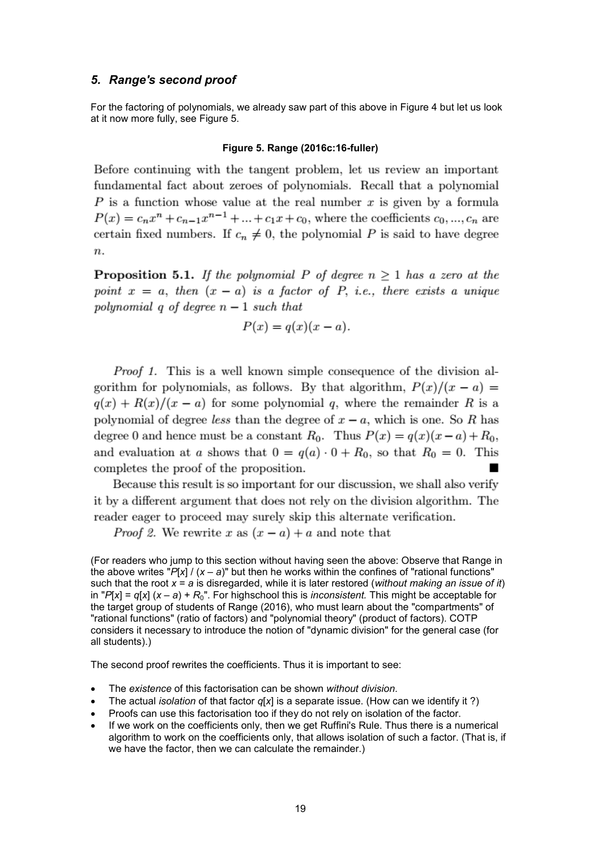### *5. Range's second proof*

For the factoring of polynomials, we already saw part of this above in Figure 4 but let us look at it now more fully, see Figure 5.

#### **Figure 5. Range (2016c:16-fuller)**

Before continuing with the tangent problem, let us review an important fundamental fact about zeroes of polynomials. Recall that a polynomial P is a function whose value at the real number x is given by a formula  $P(x) = c_n x^n + c_{n-1} x^{n-1} + ... + c_1 x + c_0$ , where the coefficients  $c_0, ..., c_n$  are certain fixed numbers. If  $c_n \neq 0$ , the polynomial P is said to have degree  $\boldsymbol{n}$ .

**Proposition 5.1.** If the polynomial P of degree  $n \geq 1$  has a zero at the point  $x = a$ , then  $(x - a)$  is a factor of P, i.e., there exists a unique polynomial q of degree  $n-1$  such that

$$
P(x) = q(x)(x - a).
$$

*Proof 1.* This is a well known simple consequence of the division algorithm for polynomials, as follows. By that algorithm,  $P(x)/(x - a) =$  $q(x) + R(x)/(x - a)$  for some polynomial q, where the remainder R is a polynomial of degree less than the degree of  $x - a$ , which is one. So R has degree 0 and hence must be a constant  $R_0$ . Thus  $P(x) = q(x)(x-a) + R_0$ , and evaluation at a shows that  $0 = q(a) \cdot 0 + R_0$ , so that  $R_0 = 0$ . This completes the proof of the proposition.

Because this result is so important for our discussion, we shall also verify it by a different argument that does not rely on the division algorithm. The reader eager to proceed may surely skip this alternate verification.

*Proof 2.* We rewrite x as  $(x - a) + a$  and note that

(For readers who jump to this section without having seen the above: Observe that Range in the above writes "*P*[*x*] / (*x* – *a*)" but then he works within the confines of "rational functions" such that the root *x* = *a* is disregarded, while it is later restored (*without making an issue of it*) in "*P*[*x*] = *q*[*x*] (*x* – *a*) + *R*0". For highschool this is *inconsistent.* This might be acceptable for the target group of students of Range (2016), who must learn about the "compartments" of "rational functions" (ratio of factors) and "polynomial theory" (product of factors). COTP considers it necessary to introduce the notion of "dynamic division" for the general case (for all students).)

The second proof rewrites the coefficients. Thus it is important to see:

- The *existence* of this factorisation can be shown *without division*.
- The actual *isolation* of that factor *q*[*x*] is a separate issue. (How can we identify it ?)
- Proofs can use this factorisation too if they do not rely on isolation of the factor.
- If we work on the coefficients only, then we get Ruffini's Rule. Thus there is a numerical algorithm to work on the coefficients only, that allows isolation of such a factor. (That is, if we have the factor, then we can calculate the remainder.)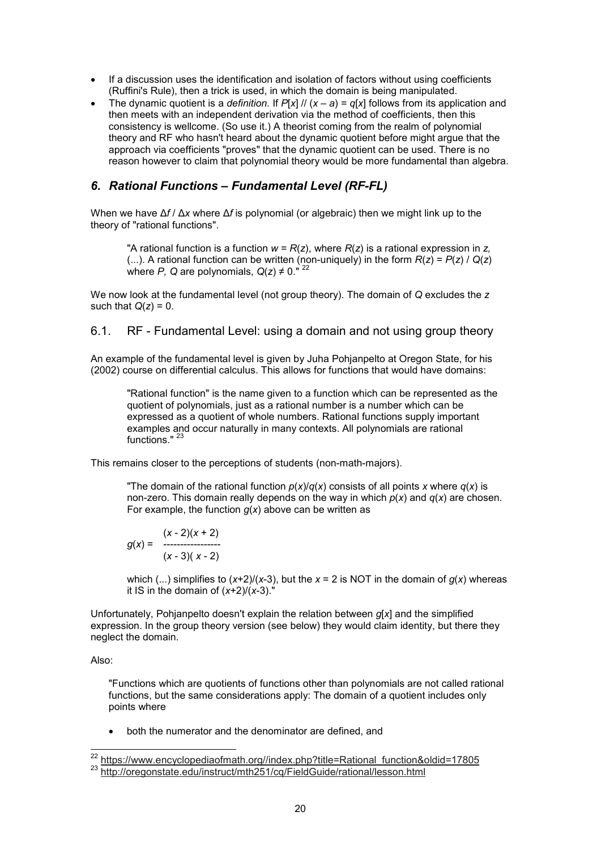- If a discussion uses the identification and isolation of factors without using coefficients (Ruffini's Rule), then a trick is used, in which the domain is being manipulated.
- The dynamic quotient is a *definition.* If  $P[x]$  //  $(x a) = q[x]$  follows from its application and then meets with an independent derivation via the method of coefficients, then this consistency is wellcome. (So use it.) A theorist coming from the realm of polynomial theory and RF who hasn't heard about the dynamic quotient before might argue that the approach via coefficients "proves" that the dynamic quotient can be used. There is no reason however to claim that polynomial theory would be more fundamental than algebra.

# *6. Rational Functions – Fundamental Level (RF-FL)*

When we have Δ*f* / Δ*x* where Δ*f* is polynomial (or algebraic) then we might link up to the theory of "rational functions".

"A rational function is a function *w* = *R*(*z*), where *R*(*z*) is a rational expression in *z,* (...). A rational function can be written (non-uniquely) in the form  $R(z) = P(z) / Q(z)$ where *P*, *Q* are polynomials,  $Q(z) \neq 0$ .<sup>"22</sup>

We now look at the fundamental level (not group theory). The domain of *Q* excludes the *z* such that  $Q(z) = 0$ .

## 6.1. RF - Fundamental Level: using a domain and not using group theory

An example of the fundamental level is given by Juha Pohjanpelto at Oregon State, for his (2002) course on differential calculus. This allows for functions that would have domains:

"Rational function" is the name given to a function which can be represented as the quotient of polynomials, just as a rational number is a number which can be expressed as a quotient of whole numbers. Rational functions supply important examples and occur naturally in many contexts. All polynomials are rational functions."

This remains closer to the perceptions of students (non-math-majors).

"The domain of the rational function  $p(x)/q(x)$  consists of all points *x* where  $q(x)$  is non-zero. This domain really depends on the way in which *p*(*x*) and *q*(*x*) are chosen. For example, the function  $g(x)$  above can be written as

$$
g(x) = \begin{array}{c} (x-2)(x+2) \\ \dots \\ (x-3)(x-2) \end{array}
$$

which (...) simplifies to  $(x+2)/(x-3)$ , but the  $x = 2$  is NOT in the domain of  $g(x)$  whereas it IS in the domain of (*x*+2)/(*x*-3)."

Unfortunately, Pohjanpelto doesn't explain the relation between *g*[*x*] and the simplified expression. In the group theory version (see below) they would claim identity, but there they neglect the domain.

Also:

"Functions which are quotients of functions other than polynomials are not called rational functions, but the same considerations apply: The domain of a quotient includes only points where

• both the numerator and the denominator are defined, and

l <sup>22</sup> https://www.encyclopediaofmath.org//index.php?title=Rational\_function&oldid=17805 23 http://oregonstate.edu/instruct/mth251/cq/FieldGuide/rational/lesson.html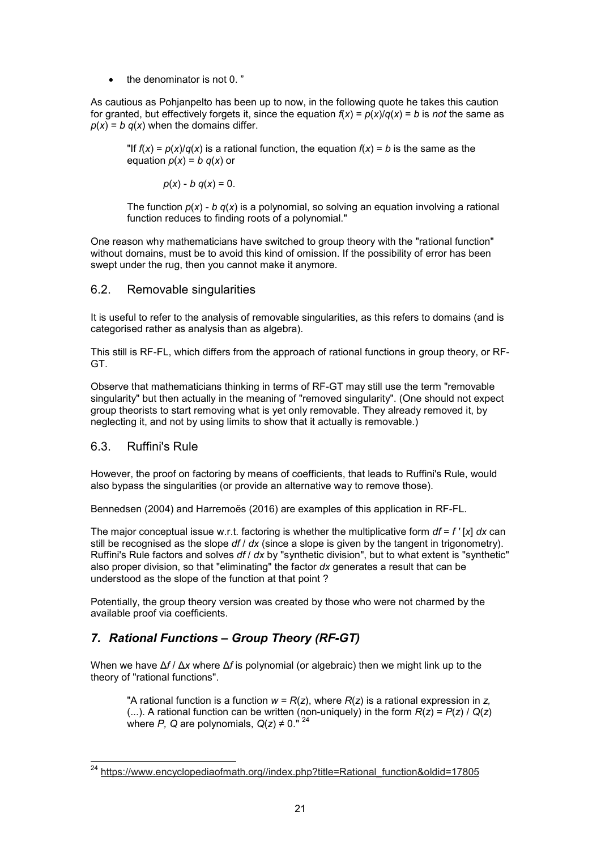• the denominator is not 0. "

As cautious as Pohjanpelto has been up to now, in the following quote he takes this caution for granted, but effectively forgets it, since the equation  $f(x) = p(x)/q(x) = b$  is *not* the same as  $p(x) = b q(x)$  when the domains differ.

"If  $f(x) = p(x)/q(x)$  is a rational function, the equation  $f(x) = b$  is the same as the equation  $p(x) = b q(x)$  or

 $p(x) - b q(x) = 0.$ 

The function  $p(x)$  - *b*  $q(x)$  is a polynomial, so solving an equation involving a rational function reduces to finding roots of a polynomial."

One reason why mathematicians have switched to group theory with the "rational function" without domains, must be to avoid this kind of omission. If the possibility of error has been swept under the rug, then you cannot make it anymore.

### 6.2. Removable singularities

It is useful to refer to the analysis of removable singularities, as this refers to domains (and is categorised rather as analysis than as algebra).

This still is RF-FL, which differs from the approach of rational functions in group theory, or RF-GT.

Observe that mathematicians thinking in terms of RF-GT may still use the term "removable singularity" but then actually in the meaning of "removed singularity". (One should not expect group theorists to start removing what is yet only removable. They already removed it, by neglecting it, and not by using limits to show that it actually is removable.)

# 6.3. Ruffini's Rule

However, the proof on factoring by means of coefficients, that leads to Ruffini's Rule, would also bypass the singularities (or provide an alternative way to remove those).

Bennedsen (2004) and Harremoës (2016) are examples of this application in RF-FL.

The major conceptual issue w.r.t. factoring is whether the multiplicative form *df* = *f '* [*x*] *dx* can still be recognised as the slope *df* / *dx* (since a slope is given by the tangent in trigonometry). Ruffini's Rule factors and solves *df* / *dx* by "synthetic division", but to what extent is "synthetic" also proper division, so that "eliminating" the factor *dx* generates a result that can be understood as the slope of the function at that point ?

Potentially, the group theory version was created by those who were not charmed by the available proof via coefficients.

# *7. Rational Functions – Group Theory (RF-GT)*

When we have Δ*f* / Δ*x* where Δ*f* is polynomial (or algebraic) then we might link up to the theory of "rational functions".

"A rational function is a function  $w = R(z)$ , where  $R(z)$  is a rational expression in z, (...). A rational function can be written (non-uniquely) in the form  $R(z) = P(z) / Q(z)$ where *P*, *Q* are polynomials,  $Q(z) \neq 0$ ."<sup>24</sup>

l <sup>24</sup> https://www.encyclopediaofmath.org//index.php?title=Rational\_function&oldid=17805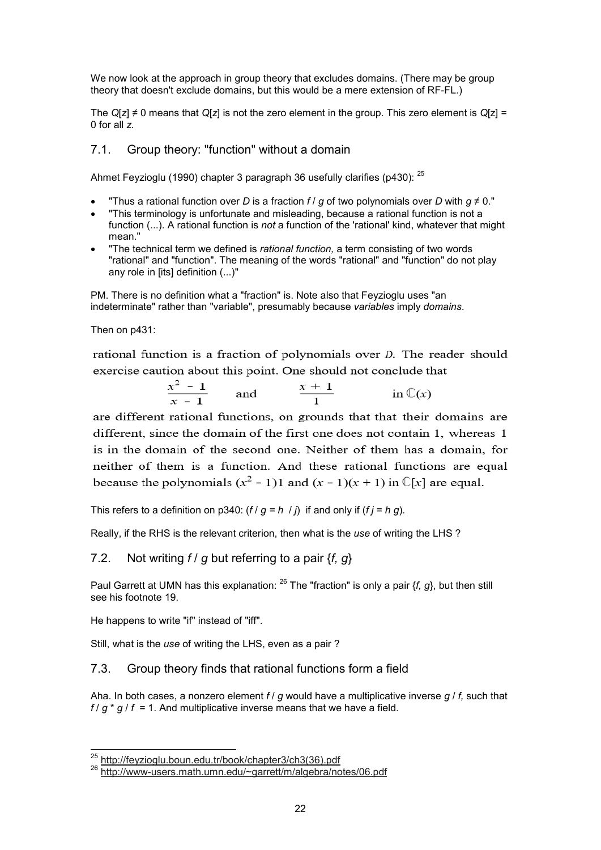We now look at the approach in group theory that excludes domains. (There may be group theory that doesn't exclude domains, but this would be a mere extension of RF-FL.)

The *Q*[*z*] ≠ 0 means that *Q*[*z*] is not the zero element in the group. This zero element is *Q*[z] = 0 for all *z.*

# 7.1. Group theory: "function" without a domain

Ahmet Feyzioglu (1990) chapter 3 paragraph 36 usefully clarifies (p430): <sup>25</sup>

- "Thus a rational function over *D* is a fraction  $f / g$  of two polynomials over *D* with  $g \neq 0$ ."
- "This terminology is unfortunate and misleading, because a rational function is not a function (...). A rational function is *not* a function of the 'rational' kind, whatever that might mean."
- "The technical term we defined is *rational function,* a term consisting of two words "rational" and "function". The meaning of the words "rational" and "function" do not play any role in [its] definition (...)"

PM. There is no definition what a "fraction" is. Note also that Feyzioglu uses "an indeterminate" rather than "variable", presumably because *variables* imply *domains*.

Then on p431:

rational function is a fraction of polynomials over  $D$ . The reader should exercise caution about this point. One should not conclude that

$$
\frac{x^2-1}{x-1} \quad \text{and} \quad \frac{x+1}{1} \quad \text{in } \mathbb{C}(x)
$$

are different rational functions, on grounds that that their domains are different, since the domain of the first one does not contain 1, whereas 1 is in the domain of the second one. Neither of them has a domain, for neither of them is a function. And these rational functions are equal because the polynomials  $(x^2 - 1)1$  and  $(x - 1)(x + 1)$  in  $\mathbb{C}[x]$  are equal.

This refers to a definition on p340:  $(f / g = h / j)$  if and only if  $(f j = h g)$ .

Really, if the RHS is the relevant criterion, then what is the *use* of writing the LHS ?

## 7.2. Not writing *f* / *g* but referring to a pair {*f, g*}

Paul Garrett at UMN has this explanation: <sup>26</sup> The "fraction" is only a pair {*f, g*}, but then still see his footnote 19.

He happens to write "if" instead of "iff".

l

Still, what is the *use* of writing the LHS, even as a pair ?

#### 7.3. Group theory finds that rational functions form a field

Aha. In both cases, a nonzero element *f* / *g* would have a multiplicative inverse *g* / *f,* such that  $f / g * g / f = 1$ . And multiplicative inverse means that we have a field.

<sup>&</sup>lt;sup>25</sup> http://feyzioglu.boun.edu.tr/book/chapter3/ch3(36).pdf

<sup>&</sup>lt;sup>26</sup> http://www-users.math.umn.edu/~garrett/m/algebra/notes/06.pdf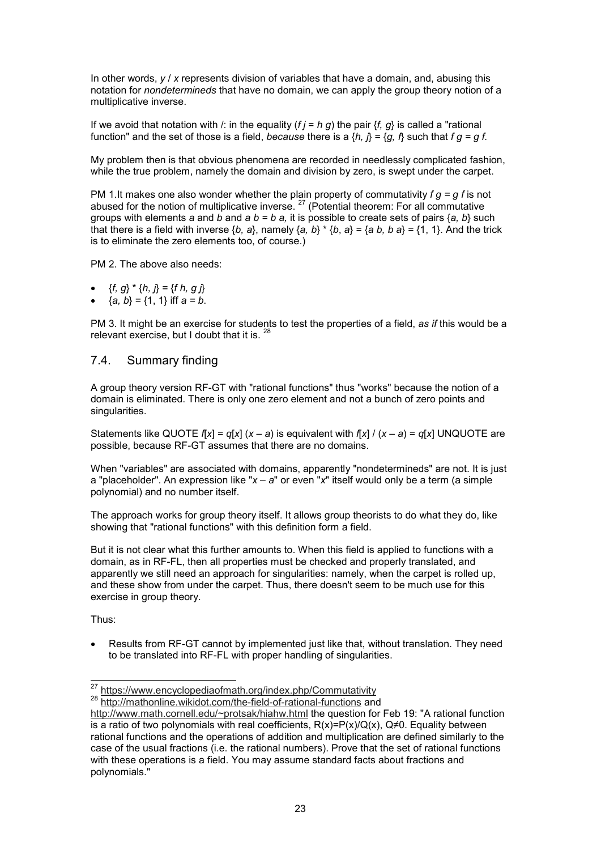In other words, *y* / *x* represents division of variables that have a domain, and, abusing this notation for *nondetermineds* that have no domain, we can apply the group theory notion of a multiplicative inverse.

If we avoid that notation with /: in the equality  $(f = h g)$  the pair  $\{f, g\}$  is called a "rational" function" and the set of those is a field, *because* there is a  $\{h, f\} = \{g, f\}$  such that  $fg = gf$ .

My problem then is that obvious phenomena are recorded in needlessly complicated fashion, while the true problem, namely the domain and division by zero, is swept under the carpet.

PM 1.It makes one also wonder whether the plain property of commutativity *f g = g f* is not abused for the notion of multiplicative inverse.  $^{27}$  (Potential theorem: For all commutative groups with elements *a* and *b* and *a b = b a,* it is possible to create sets of pairs {*a, b*} such that there is a field with inverse  $\{b, a\}$ , namely  $\{a, b\} \times \{b, a\} = \{a, b, b, a\} = \{1, 1\}$ . And the trick is to eliminate the zero elements too, of course.)

PM 2. The above also needs:

- ${f, g} * {h, j} = {f h, g j}$
- ${a, b} = {1, 1}$  iff  $a = b$ .

PM 3. It might be an exercise for students to test the properties of a field, *as if* this would be a relevant exercise, but I doubt that it is. <sup>28</sup>

### 7.4. Summary finding

A group theory version RF-GT with "rational functions" thus "works" because the notion of a domain is eliminated. There is only one zero element and not a bunch of zero points and singularities.

Statements like QUOTE  $f[x] = q[x] (x - a)$  is equivalent with  $f[x]/(x - a) = q[x]$  UNQUOTE are possible, because RF-GT assumes that there are no domains.

When "variables" are associated with domains, apparently "nondetermineds" are not. It is just a "placeholder". An expression like "*x* – *a*" or even "*x*" itself would only be a term (a simple polynomial) and no number itself.

The approach works for group theory itself. It allows group theorists to do what they do, like showing that "rational functions" with this definition form a field.

But it is not clear what this further amounts to. When this field is applied to functions with a domain, as in RF-FL, then all properties must be checked and properly translated, and apparently we still need an approach for singularities: namely, when the carpet is rolled up, and these show from under the carpet. Thus, there doesn't seem to be much use for this exercise in group theory.

Thus:

l

• Results from RF-GT cannot by implemented just like that, without translation. They need to be translated into RF-FL with proper handling of singularities.

28 http://mathonline.wikidot.com/the-field-of-rational-functions and

<sup>&</sup>lt;sup>27</sup> https://www.encyclopediaofmath.org/index.php/Commutativity

http://www.math.cornell.edu/~protsak/hiahw.html the question for Feb 19: "A rational function is a ratio of two polynomials with real coefficients,  $R(x)=P(x)/Q(x)$ . Q≠0. Equality between rational functions and the operations of addition and multiplication are defined similarly to the case of the usual fractions (i.e. the rational numbers). Prove that the set of rational functions with these operations is a field. You may assume standard facts about fractions and polynomials."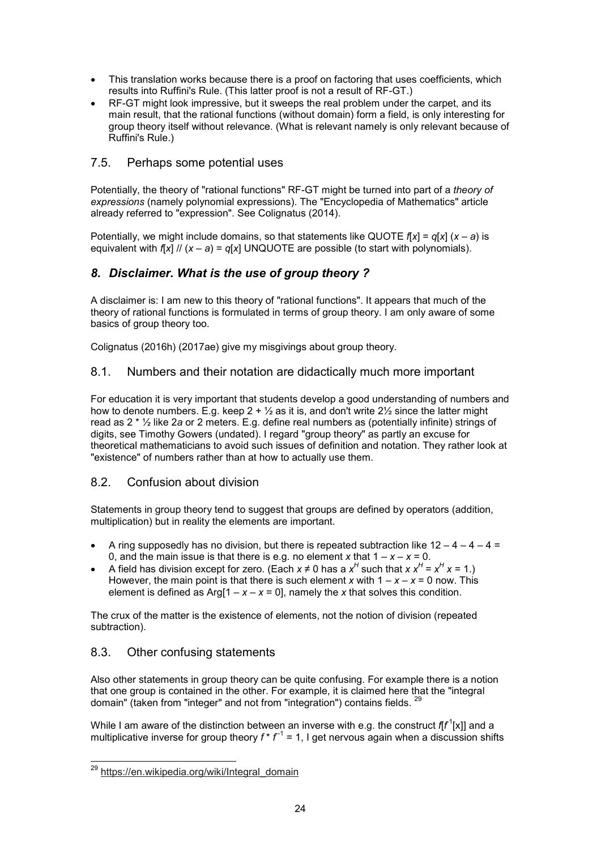- This translation works because there is a proof on factoring that uses coefficients, which results into Ruffini's Rule. (This latter proof is not a result of RF-GT.)
- RF-GT might look impressive, but it sweeps the real problem under the carpet, and its main result, that the rational functions (without domain) form a field, is only interesting for group theory itself without relevance. (What is relevant namely is only relevant because of Ruffini's Rule.)

# 7.5. Perhaps some potential uses

Potentially, the theory of "rational functions" RF-GT might be turned into part of a *theory of expressions* (namely polynomial expressions). The "Encyclopedia of Mathematics" article already referred to "expression". See Colignatus (2014).

Potentially, we might include domains, so that statements like QUOTE  $f[x] = q[x] (x - a)$  is equivalent with  $f[x]$  //  $(x - a) = q[x]$  UNQUOTE are possible (to start with polynomials).

# *8. Disclaimer. What is the use of group theory ?*

A disclaimer is: I am new to this theory of "rational functions". It appears that much of the theory of rational functions is formulated in terms of group theory. I am only aware of some basics of group theory too.

Colignatus (2016h) (2017ae) give my misgivings about group theory.

# 8.1. Numbers and their notation are didactically much more important

For education it is very important that students develop a good understanding of numbers and how to denote numbers. E.g. keep  $2 + \frac{1}{2}$  as it is, and don't write  $2\frac{1}{2}$  since the latter might read as 2 \* ½ like 2*a* or 2 meters. E.g. define real numbers as (potentially infinite) strings of digits, see Timothy Gowers (undated). I regard "group theory" as partly an excuse for theoretical mathematicians to avoid such issues of definition and notation. They rather look at "existence" of numbers rather than at how to actually use them.

# 8.2. Confusion about division

Statements in group theory tend to suggest that groups are defined by operators (addition, multiplication) but in reality the elements are important.

- A ring supposedly has no division, but there is repeated subtraction like  $12 4 4 = 4$ 0, and the main issue is that there is e.g. no element *x* that  $1 - x - x = 0$ .
- A field has division except for zero. (Each  $x \neq 0$  has a  $x^H$  such that  $x x^H = x^H x = 1$ .) However, the main point is that there is such element *x* with  $1 - x - x = 0$  now. This element is defined as  $Arg[1 - x - x = 0]$ , namely the x that solves this condition.

The crux of the matter is the existence of elements, not the notion of division (repeated subtraction).

# 8.3. Other confusing statements

Also other statements in group theory can be quite confusing. For example there is a notion that one group is contained in the other. For example, it is claimed here that the "integral domain" (taken from "integer" and not from "integration") contains fields.

While I am aware of the distinction between an inverse with e.g. the construct  $\mathrm{f\!f}^{\mathrm{1}}[\mathrm{x}]$ ] and a multiplicative inverse for group theory  $f * f^{-1} = 1$ , I get nervous again when a discussion shifts

l <sup>29</sup> https://en.wikipedia.org/wiki/Integral\_domain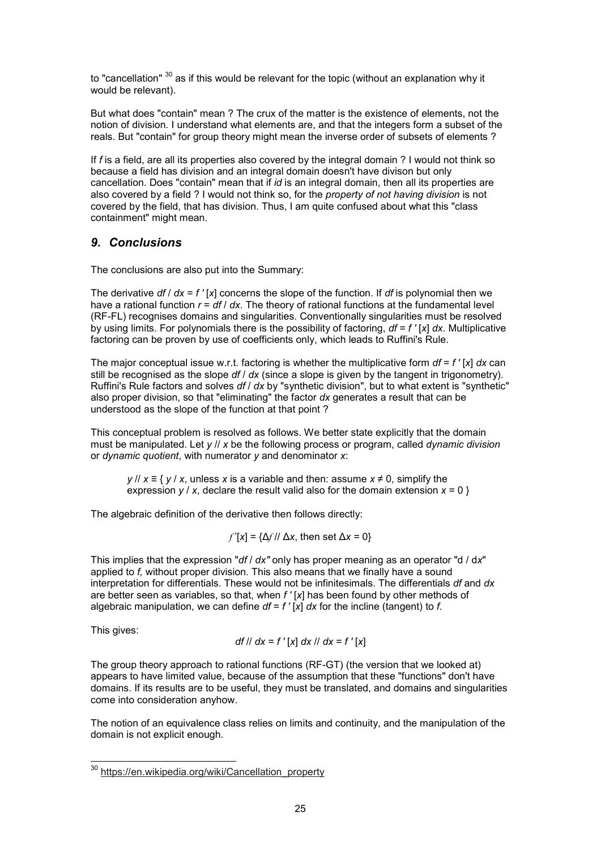to "cancellation"  $30$  as if this would be relevant for the topic (without an explanation why it would be relevant).

But what does "contain" mean ? The crux of the matter is the existence of elements, not the notion of division. I understand what elements are, and that the integers form a subset of the reals. But "contain" for group theory might mean the inverse order of subsets of elements ?

If *f* is a field, are all its properties also covered by the integral domain ? I would not think so because a field has division and an integral domain doesn't have divison but only cancellation. Does "contain" mean that if *id* is an integral domain, then all its properties are also covered by a field ? I would not think so, for the *property of not having division* is not covered by the field, that has division. Thus, I am quite confused about what this "class containment" might mean.

# *9. Conclusions*

The conclusions are also put into the Summary:

The derivative *df* / *dx* = *f '* [*x*] concerns the slope of the function. If *df* is polynomial then we have a rational function *r* = *df* / *dx*. The theory of rational functions at the fundamental level (RF-FL) recognises domains and singularities. Conventionally singularities must be resolved by using limits. For polynomials there is the possibility of factoring, *df* = *f '* [*x*] *dx.* Multiplicative factoring can be proven by use of coefficients only, which leads to Ruffini's Rule.

The major conceptual issue w.r.t. factoring is whether the multiplicative form  $df = f'$  [x]  $dx$  can still be recognised as the slope *df* / *dx* (since a slope is given by the tangent in trigonometry). Ruffini's Rule factors and solves *df* / *dx* by "synthetic division", but to what extent is "synthetic" also proper division, so that "eliminating" the factor *dx* generates a result that can be understood as the slope of the function at that point ?

This conceptual problem is resolved as follows. We better state explicitly that the domain must be manipulated. Let *y* // *x* be the following process or program, called *dynamic division* or *dynamic quotient*, with numerator *y* and denominator *x*:

*y* // *x* ≡ { *y* / *x*, unless *x* is a variable and then: assume *x* ≠ 0, simplify the expression  $y / x$ , declare the result valid also for the domain extension  $x = 0$  }

The algebraic definition of the derivative then follows directly:

$$
f'[x] = \{\Delta f / \Delta x, \text{ then set } \Delta x = 0\}
$$

This implies that the expression "*df* / *dx"* only has proper meaning as an operator "d / d*x*" applied to *f,* without proper division. This also means that we finally have a sound interpretation for differentials. These would not be infinitesimals. The differentials *df* and *dx* are better seen as variables, so that, when *f '* [*x*] has been found by other methods of algebraic manipulation, we can define *df* = *f '* [*x*] *dx* for the incline (tangent) to *f.*

This gives:

$$
df \mid dx = f'[x] dx \mid dx = f'[x]
$$

The group theory approach to rational functions (RF-GT) (the version that we looked at) appears to have limited value, because of the assumption that these "functions" don't have domains. If its results are to be useful, they must be translated, and domains and singularities come into consideration anyhow.

The notion of an equivalence class relies on limits and continuity, and the manipulation of the domain is not explicit enough.

į <sup>30</sup> https://en.wikipedia.org/wiki/Cancellation\_property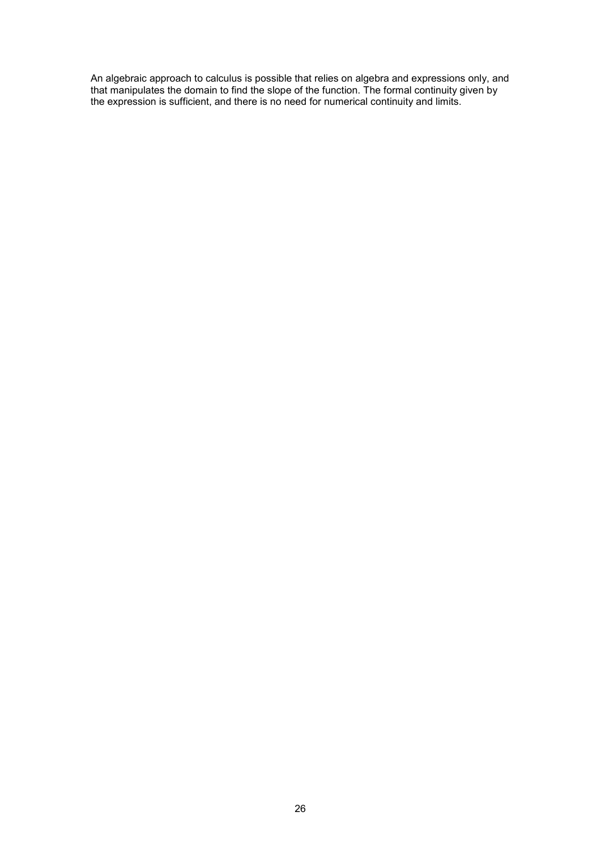An algebraic approach to calculus is possible that relies on algebra and expressions only, and that manipulates the domain to find the slope of the function. The formal continuity given by the expression is sufficient, and there is no need for numerical continuity and limits.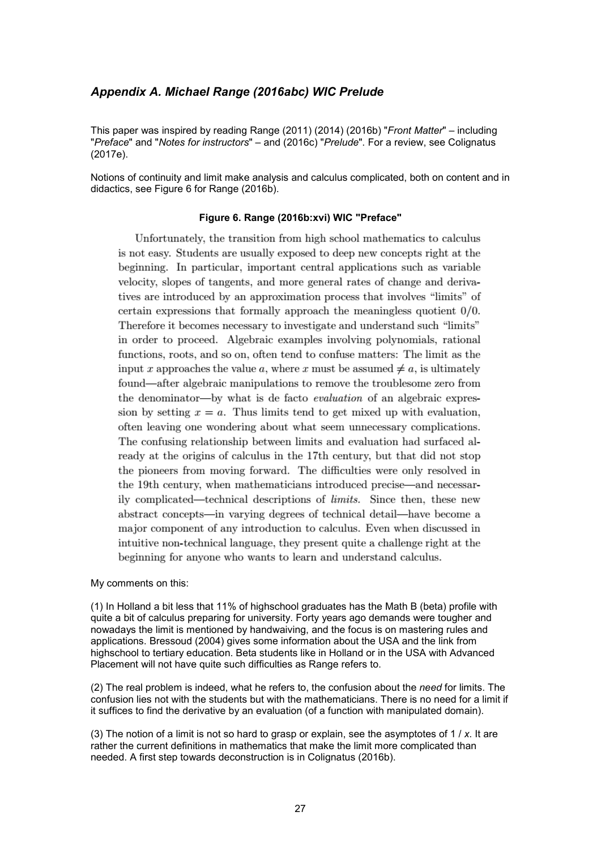## *Appendix A. Michael Range (2016abc) WIC Prelude*

This paper was inspired by reading Range (2011) (2014) (2016b) "*Front Matter*" – including "*Preface*" and "*Notes for instructors*" – and (2016c) "*Prelude*". For a review, see Colignatus (2017e).

Notions of continuity and limit make analysis and calculus complicated, both on content and in didactics, see Figure 6 for Range (2016b).

#### **Figure 6. Range (2016b:xvi) WIC "Preface"**

Unfortunately, the transition from high school mathematics to calculus is not easy. Students are usually exposed to deep new concepts right at the beginning. In particular, important central applications such as variable velocity, slopes of tangents, and more general rates of change and derivatives are introduced by an approximation process that involves "limits" of certain expressions that formally approach the meaningless quotient  $0/0$ . Therefore it becomes necessary to investigate and understand such "limits" in order to proceed. Algebraic examples involving polynomials, rational functions, roots, and so on, often tend to confuse matters: The limit as the input x approaches the value a, where x must be assumed  $\neq a$ , is ultimately found—after algebraic manipulations to remove the troublesome zero from the denominator—by what is de facto *evaluation* of an algebraic expression by setting  $x = a$ . Thus limits tend to get mixed up with evaluation, often leaving one wondering about what seem unnecessary complications. The confusing relationship between limits and evaluation had surfaced already at the origins of calculus in the 17th century, but that did not stop the pioneers from moving forward. The difficulties were only resolved in the 19th century, when mathematicians introduced precise—and necessarily complicated—technical descriptions of limits. Since then, these new abstract concepts—in varying degrees of technical detail—have become a major component of any introduction to calculus. Even when discussed in intuitive non-technical language, they present quite a challenge right at the beginning for anyone who wants to learn and understand calculus.

My comments on this:

(1) In Holland a bit less that 11% of highschool graduates has the Math B (beta) profile with quite a bit of calculus preparing for university. Forty years ago demands were tougher and nowadays the limit is mentioned by handwaiving, and the focus is on mastering rules and applications. Bressoud (2004) gives some information about the USA and the link from highschool to tertiary education. Beta students like in Holland or in the USA with Advanced Placement will not have quite such difficulties as Range refers to.

(2) The real problem is indeed, what he refers to, the confusion about the *need* for limits. The confusion lies not with the students but with the mathematicians. There is no need for a limit if it suffices to find the derivative by an evaluation (of a function with manipulated domain).

(3) The notion of a limit is not so hard to grasp or explain, see the asymptotes of 1 / *x*. It are rather the current definitions in mathematics that make the limit more complicated than needed. A first step towards deconstruction is in Colignatus (2016b).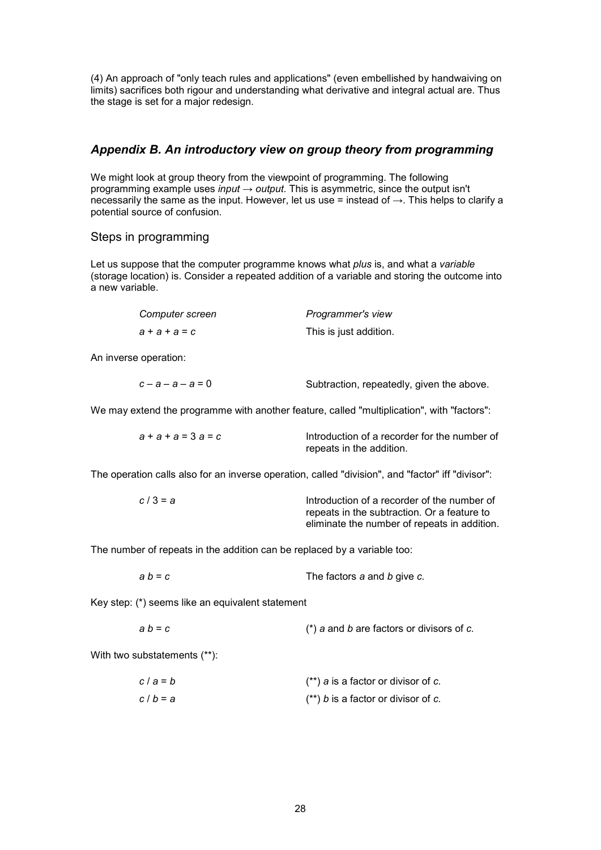(4) An approach of "only teach rules and applications" (even embellished by handwaiving on limits) sacrifices both rigour and understanding what derivative and integral actual are. Thus the stage is set for a major redesign.

# *Appendix B. An introductory view on group theory from programming*

We might look at group theory from the viewpoint of programming. The following programming example uses *input* → *output*. This is asymmetric, since the output isn't necessarily the same as the input. However, let us use = instead of  $\rightarrow$ . This helps to clarify a potential source of confusion.

### Steps in programming

Let us suppose that the computer programme knows what *plus* is, and what a *variable* (storage location) is. Consider a repeated addition of a variable and storing the outcome into a new variable.

| Computer screen | Programmer's view      |
|-----------------|------------------------|
| $a + a + a = c$ | This is just addition. |

An inverse operation:

We may extend the programme with another feature, called "multiplication", with "factors":

| $a + a + a = 3$ $a = c$ | Introduction of a recorder for the number of |
|-------------------------|----------------------------------------------|
|                         | repeats in the addition.                     |

The operation calls also for an inverse operation, called "division", and "factor" iff "divisor":

| $c/3 = a$ | Introduction of a recorder of the number of  |
|-----------|----------------------------------------------|
|           | repeats in the subtraction. Or a feature to  |
|           | eliminate the number of repeats in addition. |

The number of repeats in the addition can be replaced by a variable too:

| $ab = c$ | The factors a and b give c. |
|----------|-----------------------------|
|----------|-----------------------------|

Key step: (\*) seems like an equivalent statement

| a b = c |  |  |  | $(*)$ a and b are factors or divisors of c. |  |
|---------|--|--|--|---------------------------------------------|--|
|         |  |  |  |                                             |  |

With two substatements (\*\*):

| c/a=b | $(**)$ a is a factor or divisor of c. |
|-------|---------------------------------------|
| c/b=a | $(**)$ b is a factor or divisor of c. |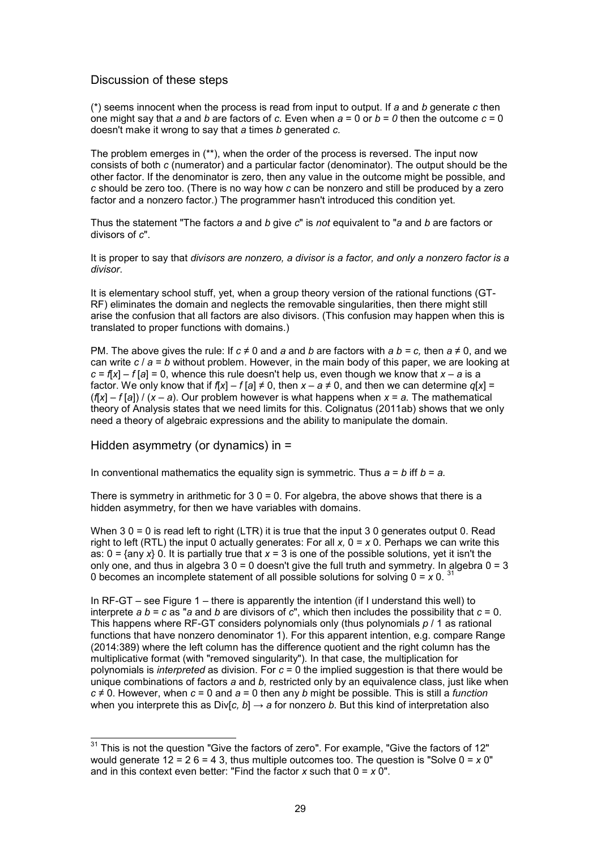### Discussion of these steps

(\*) seems innocent when the process is read from input to output. If *a* and *b* generate *c* then one might say that *a* and *b* are factors of *c.* Even when *a* = 0 or *b* = *0* then the outcome *c* = 0 doesn't make it wrong to say that *a* times *b* generated *c.*

The problem emerges in (\*\*), when the order of the process is reversed. The input now consists of both *c* (numerator) and a particular factor (denominator). The output should be the other factor. If the denominator is zero, then any value in the outcome might be possible, and *c* should be zero too. (There is no way how *c* can be nonzero and still be produced by a zero factor and a nonzero factor.) The programmer hasn't introduced this condition yet.

Thus the statement "The factors *a* and *b* give *c*" is *not* equivalent to "*a* and *b* are factors or divisors of *c*".

It is proper to say that *divisors are nonzero, a divisor is a factor, and only a nonzero factor is a divisor*.

It is elementary school stuff, yet, when a group theory version of the rational functions (GT-RF) eliminates the domain and neglects the removable singularities, then there might still arise the confusion that all factors are also divisors. (This confusion may happen when this is translated to proper functions with domains.)

PM. The above gives the rule: If  $c \neq 0$  and *a* and *b* are factors with  $a b = c$ , then  $a \neq 0$ , and we can write *c* / *a* = *b* without problem. However, in the main body of this paper, we are looking at  $c = f(x) - f(a) = 0$ , whence this rule doesn't help us, even though we know that  $x - a$  is a factor. We only know that if  $f[x] - f[a] \neq 0$ , then  $x - a \neq 0$ , and then we can determine  $q[x] =$  $(f[x] - f[a]) / (x - a)$ . Our problem however is what happens when  $x = a$ . The mathematical theory of Analysis states that we need limits for this. Colignatus (2011ab) shows that we only need a theory of algebraic expressions and the ability to manipulate the domain.

Hidden asymmetry (or dynamics) in =

In conventional mathematics the equality sign is symmetric. Thus *a* = *b* iff *b* = *a.*

There is symmetry in arithmetic for  $3.0 = 0$ . For algebra, the above shows that there is a hidden asymmetry, for then we have variables with domains.

When 3 0 = 0 is read left to right (LTR) it is true that the input 3 0 generates output 0. Read right to left (RTL) the input 0 actually generates: For all *x,* 0 = *x* 0. Perhaps we can write this as: 0 = {any *x*} 0. It is partially true that *x* = 3 is one of the possible solutions, yet it isn't the only one, and thus in algebra  $30 = 0$  doesn't give the full truth and symmetry. In algebra  $0 = 3$ 0 becomes an incomplete statement of all possible solutions for solving 0 = *x* 0. <sup>31</sup>

In RF-GT – see Figure 1 – there is apparently the intention (if I understand this well) to interprete *a b* = *c* as "*a* and *b* are divisors of *c*", which then includes the possibility that *c* = 0. This happens where RF-GT considers polynomials only (thus polynomials *p* / 1 as rational functions that have nonzero denominator 1). For this apparent intention, e.g. compare Range (2014:389) where the left column has the difference quotient and the right column has the multiplicative format (with "removed singularity")*.* In that case, the multiplication for polynomials is *interpreted* as division. For *c* = 0 the implied suggestion is that there would be unique combinations of factors *a* and *b,* restricted only by an equivalence class, just like when *c* ≠ 0. However, when *c* = 0 and *a* = 0 then any *b* might be possible. This is still a *function* when you interprete this as Div[*c*,  $b$ ]  $\rightarrow$  *a* for nonzero *b*. But this kind of interpretation also

 $\overline{a}$  $^{\rm 31}$  This is not the question "Give the factors of zero". For example, "Give the factors of 12" would generate 12 = 2 6 = 4 3, thus multiple outcomes too. The question is "Solve 0 = *x* 0" and in this context even better: "Find the factor *x* such that 0 = *x* 0".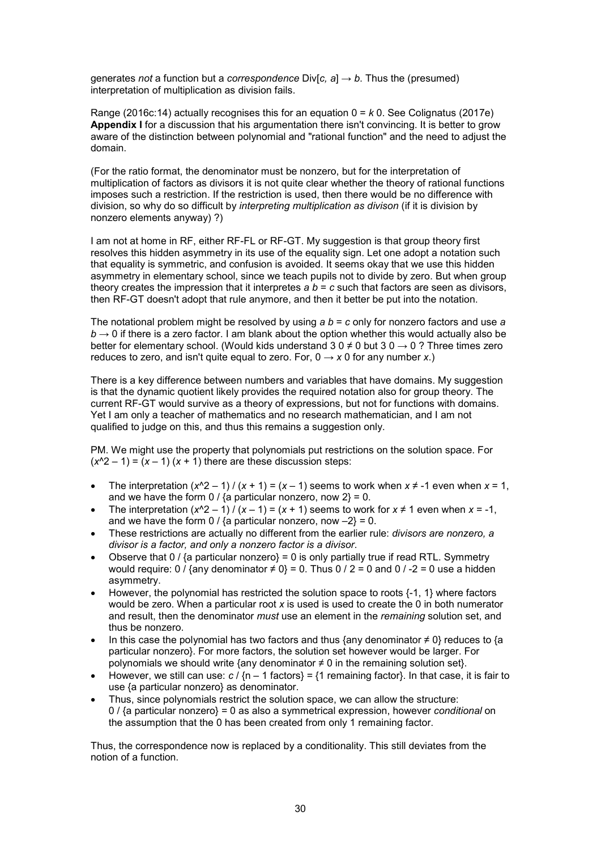generates *not* a function but a *correspondence* Div[*c*,  $a$ ]  $\rightarrow$  *b*. Thus the (presumed) interpretation of multiplication as division fails.

Range (2016c:14) actually recognises this for an equation 0 = *k* 0. See Colignatus (2017e) **Appendix I** for a discussion that his argumentation there isn't convincing. It is better to grow aware of the distinction between polynomial and "rational function" and the need to adjust the domain.

(For the ratio format, the denominator must be nonzero, but for the interpretation of multiplication of factors as divisors it is not quite clear whether the theory of rational functions imposes such a restriction. If the restriction is used, then there would be no difference with division, so why do so difficult by *interpreting multiplication as divison* (if it is division by nonzero elements anyway) ?)

I am not at home in RF, either RF-FL or RF-GT. My suggestion is that group theory first resolves this hidden asymmetry in its use of the equality sign. Let one adopt a notation such that equality is symmetric, and confusion is avoided. It seems okay that we use this hidden asymmetry in elementary school, since we teach pupils not to divide by zero. But when group theory creates the impression that it interpretes  $a b = c$  such that factors are seen as divisors, then RF-GT doesn't adopt that rule anymore, and then it better be put into the notation.

The notational problem might be resolved by using *a b* = *c* only for nonzero factors and use *a*  $b \rightarrow 0$  if there is a zero factor. I am blank about the option whether this would actually also be better for elementary school. (Would kids understand 3 0  $\neq$  0 but 3 0  $\rightarrow$  0 ? Three times zero reduces to zero, and isn't quite equal to zero. For,  $0 \rightarrow x 0$  for any number *x*.)

There is a key difference between numbers and variables that have domains. My suggestion is that the dynamic quotient likely provides the required notation also for group theory. The current RF-GT would survive as a theory of expressions, but not for functions with domains. Yet I am only a teacher of mathematics and no research mathematician, and I am not qualified to judge on this, and thus this remains a suggestion only.

PM. We might use the property that polynomials put restrictions on the solution space. For  $(x^2 - 1) = (x - 1)(x + 1)$  there are these discussion steps:

- The interpretation  $(x^2 1) / (x + 1) = (x 1)$  seems to work when  $x \neq -1$  even when  $x = 1$ , and we have the form 0 / {a particular nonzero, now  $2$ } = 0.
- The interpretation  $(x^2 1) / (x 1) = (x + 1)$  seems to work for  $x \ne 1$  even when  $x = -1$ , and we have the form  $0 / {a}$  particular nonzero, now  $-2$ } = 0.
- These restrictions are actually no different from the earlier rule: *divisors are nonzero, a divisor is a factor, and only a nonzero factor is a divisor*.
- Observe that 0 /  $\{a\}$  particular nonzero $\} = 0$  is only partially true if read RTL. Symmetry would require: 0 / {any denominator  $\neq 0$ } = 0. Thus 0 / 2 = 0 and 0 / -2 = 0 use a hidden asymmetry.
- However, the polynomial has restricted the solution space to roots  $\{-1, 1\}$  where factors would be zero. When a particular root *x* is used is used to create the 0 in both numerator and result, then the denominator *must* use an element in the *remaining* solution set, and thus be nonzero.
- In this case the polynomial has two factors and thus {any denominator  $\neq 0$ } reduces to {a particular nonzero}. For more factors, the solution set however would be larger. For polynomials we should write {any denominator  $\neq 0$  in the remaining solution set}.
- However, we still can use:  $c / {n 1$  factors} = {1 remaining factor}. In that case, it is fair to use {a particular nonzero} as denominator.
- Thus, since polynomials restrict the solution space, we can allow the structure: 0 / {a particular nonzero} = 0 as also a symmetrical expression, however *conditional* on the assumption that the 0 has been created from only 1 remaining factor.

Thus, the correspondence now is replaced by a conditionality. This still deviates from the notion of a function.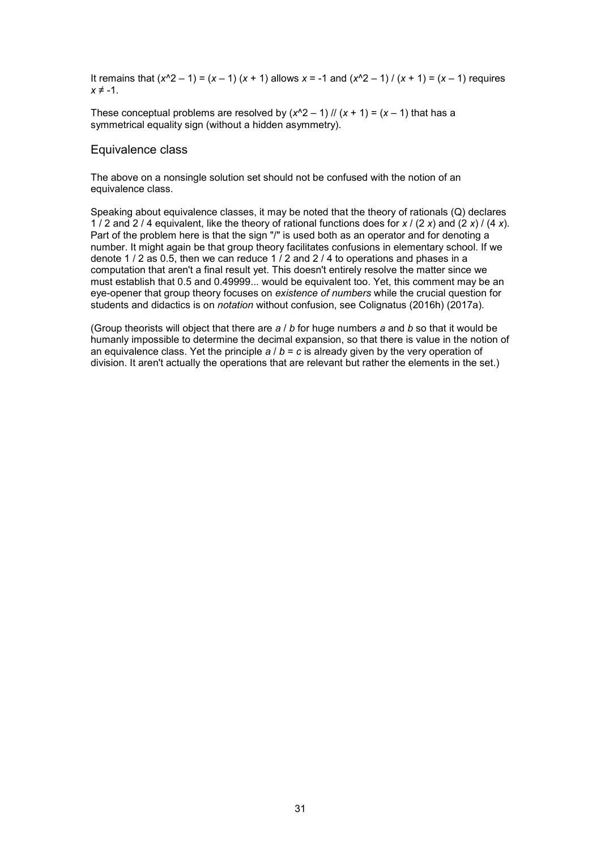It remains that (*x*^2 – 1) = (*x* – 1) (*x* + 1) allows *x* = -1 and (*x*^2 – 1) / (*x* + 1) = (*x* – 1) requires  $x \neq -1$ .

These conceptual problems are resolved by  $(x^2 - 1)$  //  $(x + 1) = (x - 1)$  that has a symmetrical equality sign (without a hidden asymmetry).

#### Equivalence class

The above on a nonsingle solution set should not be confused with the notion of an equivalence class.

Speaking about equivalence classes, it may be noted that the theory of rationals (Q) declares 1 / 2 and 2 / 4 equivalent, like the theory of rational functions does for *x* / (2 *x*) and (2 *x*) / (4 *x*). Part of the problem here is that the sign "/" is used both as an operator and for denoting a number. It might again be that group theory facilitates confusions in elementary school. If we denote 1 / 2 as 0.5, then we can reduce 1 / 2 and 2 / 4 to operations and phases in a computation that aren't a final result yet. This doesn't entirely resolve the matter since we must establish that 0.5 and 0.49999... would be equivalent too. Yet, this comment may be an eye-opener that group theory focuses on *existence of numbers* while the crucial question for students and didactics is on *notation* without confusion, see Colignatus (2016h) (2017a).

(Group theorists will object that there are *a* / *b* for huge numbers *a* and *b* so that it would be humanly impossible to determine the decimal expansion, so that there is value in the notion of an equivalence class. Yet the principle  $a / b = c$  is already given by the very operation of division. It aren't actually the operations that are relevant but rather the elements in the set.)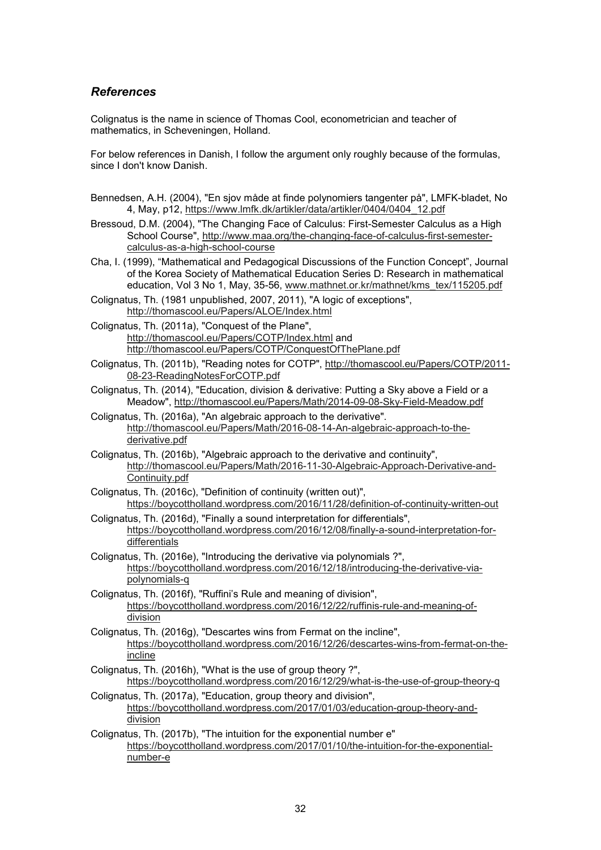# *References*

Colignatus is the name in science of Thomas Cool, econometrician and teacher of mathematics, in Scheveningen, Holland.

For below references in Danish, I follow the argument only roughly because of the formulas, since I don't know Danish.

- Bennedsen, A.H. (2004), "En sjov måde at finde polynomiers tangenter på", LMFK-bladet, No 4, May, p12, https://www.lmfk.dk/artikler/data/artikler/0404/0404\_12.pdf
- Bressoud, D.M. (2004), "The Changing Face of Calculus: First-Semester Calculus as a High School Course", http://www.maa.org/the-changing-face-of-calculus-first-semestercalculus-as-a-high-school-course
- Cha, I. (1999), "Mathematical and Pedagogical Discussions of the Function Concept", Journal of the Korea Society of Mathematical Education Series D: Research in mathematical education, Vol 3 No 1, May, 35-56, www.mathnet.or.kr/mathnet/kms\_tex/115205.pdf
- Colignatus, Th. (1981 unpublished, 2007, 2011), "A logic of exceptions", http://thomascool.eu/Papers/ALOE/Index.html
- Colignatus, Th. (2011a), "Conquest of the Plane", http://thomascool.eu/Papers/COTP/Index.html and http://thomascool.eu/Papers/COTP/ConquestOfThePlane.pdf
- Colignatus, Th. (2011b), "Reading notes for COTP", http://thomascool.eu/Papers/COTP/2011- 08-23-ReadingNotesForCOTP.pdf
- Colignatus, Th. (2014), "Education, division & derivative: Putting a Sky above a Field or a Meadow", http://thomascool.eu/Papers/Math/2014-09-08-Sky-Field-Meadow.pdf
- Colignatus, Th. (2016a), "An algebraic approach to the derivative". http://thomascool.eu/Papers/Math/2016-08-14-An-algebraic-approach-to-thederivative.pdf
- Colignatus, Th. (2016b), "Algebraic approach to the derivative and continuity", http://thomascool.eu/Papers/Math/2016-11-30-Algebraic-Approach-Derivative-and-Continuity.pdf
- Colignatus, Th. (2016c), "Definition of continuity (written out)", https://boycottholland.wordpress.com/2016/11/28/definition-of-continuity-written-out
- Colignatus, Th. (2016d), "Finally a sound interpretation for differentials", https://boycottholland.wordpress.com/2016/12/08/finally-a-sound-interpretation-fordifferentials
- Colignatus, Th. (2016e), "Introducing the derivative via polynomials ?", https://boycottholland.wordpress.com/2016/12/18/introducing-the-derivative-viapolynomials-q
- Colignatus, Th. (2016f), "Ruffini's Rule and meaning of division", https://boycottholland.wordpress.com/2016/12/22/ruffinis-rule-and-meaning-ofdivision
- Colignatus, Th. (2016g), "Descartes wins from Fermat on the incline", https://boycottholland.wordpress.com/2016/12/26/descartes-wins-from-fermat-on-theincline
- Colignatus, Th. (2016h), "What is the use of group theory ?", https://boycottholland.wordpress.com/2016/12/29/what-is-the-use-of-group-theory-q
- Colignatus, Th. (2017a), "Education, group theory and division", https://boycottholland.wordpress.com/2017/01/03/education-group-theory-anddivision
- Colignatus, Th. (2017b), "The intuition for the exponential number e" https://boycottholland.wordpress.com/2017/01/10/the-intuition-for-the-exponentialnumber-e